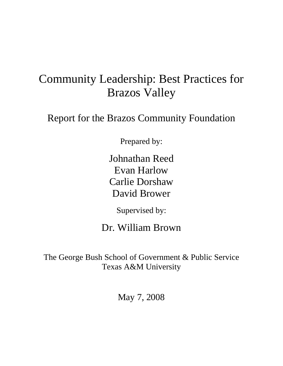# Community Leadership: Best Practices for Brazos Valley

Report for the Brazos Community Foundation

Prepared by:

Johnathan Reed Evan Harlow Carlie Dorshaw David Brower

Supervised by:

Dr. William Brown

The George Bush School of Government & Public Service Texas A&M University

May 7, 2008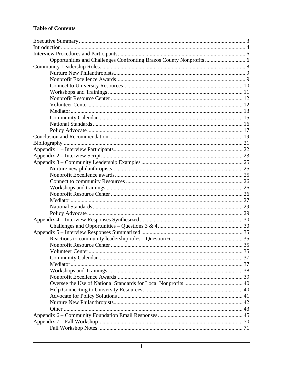#### **Table of Contents**

| Opportunities and Challenges Confronting Brazos County Nonprofits  6 |  |
|----------------------------------------------------------------------|--|
|                                                                      |  |
|                                                                      |  |
|                                                                      |  |
|                                                                      |  |
|                                                                      |  |
|                                                                      |  |
|                                                                      |  |
|                                                                      |  |
|                                                                      |  |
|                                                                      |  |
|                                                                      |  |
|                                                                      |  |
|                                                                      |  |
|                                                                      |  |
|                                                                      |  |
|                                                                      |  |
|                                                                      |  |
|                                                                      |  |
|                                                                      |  |
|                                                                      |  |
|                                                                      |  |
|                                                                      |  |
|                                                                      |  |
|                                                                      |  |
|                                                                      |  |
|                                                                      |  |
|                                                                      |  |
|                                                                      |  |
|                                                                      |  |
|                                                                      |  |
|                                                                      |  |
|                                                                      |  |
|                                                                      |  |
|                                                                      |  |
|                                                                      |  |
|                                                                      |  |
|                                                                      |  |
|                                                                      |  |
|                                                                      |  |
|                                                                      |  |
|                                                                      |  |
|                                                                      |  |
|                                                                      |  |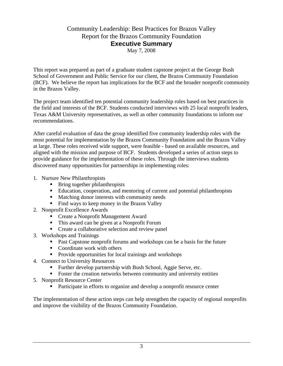# Community Leadership: Best Practices for Brazos Valley Report for the Brazos Community Foundation **Executive Summary**

May 7, 2008

This report was prepared as part of a graduate student capstone project at the George Bush School of Government and Public Service for our client, the Brazos Community Foundation (BCF). We believe the report has implications for the BCF and the broader nonprofit community in the Brazos Valley.

The project team identified ten potential community leadership roles based on best practices in the field and interests of the BCF. Students conducted interviews with 25 local nonprofit leaders, Texas A&M University representatives, as well as other community foundations to inform our recommendations.

After careful evaluation of data the group identified five community leadership roles with the most potential for implementation by the Brazos Community Foundation and the Brazos Valley at large. These roles received wide support, were feasible - based on available resources, and aligned with the mission and purpose of BCF. Students developed a series of action steps to provide guidance for the implementation of these roles. Through the interviews students discovered many opportunities for partnerships in implementing roles:

- 1. Nurture New Philanthropists
	- Bring together philanthropists
	- Education, cooperation, and mentoring of current and potential philanthropists
	- **Matching donor interests with community needs**
	- Find ways to keep money in the Brazos Valley
- 2. Nonprofit Excellence Awards
	- Create a Nonprofit Management Award
	- This award can be given at a Nonprofit Forum
	- **Create a collaborative selection and review panel**
- 3. Workshops and Trainings
	- **Past Capstone nonprofit forums and workshops can be a basis for the future**
	- Coordinate work with others
	- Provide opportunities for local trainings and workshops
- 4. Connect to University Resources
	- **Further develop partnership with Bush School, Aggie Serve, etc.**
	- Foster the creation networks between community and university entities
- 5. Nonprofit Resource Center
	- Participate in efforts to organize and develop a nonprofit resource center

The implementation of these action steps can help strengthen the capacity of regional nonprofits and improve the visibility of the Brazos Community Foundation.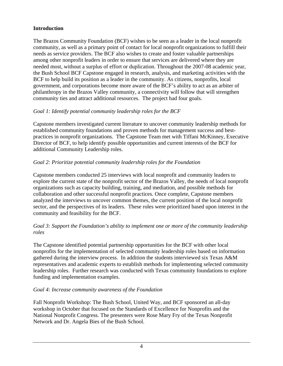# **Introduction**

The Brazos Community Foundation (BCF) wishes to be seen as a leader in the local nonprofit community, as well as a primary point of contact for local nonprofit organizations to fulfill their needs as service providers. The BCF also wishes to create and foster valuable partnerships among other nonprofit leaders in order to ensure that services are delivered where they are needed most, without a surplus of effort or duplication. Throughout the 2007-08 academic year, the Bush School BCF Capstone engaged in research, analysis, and marketing activities with the BCF to help build its position as a leader in the community. As citizens, nonprofits, local government, and corporations become more aware of the BCF's ability to act as an arbiter of philanthropy in the Brazos Valley community, a connectivity will follow that will strengthen community ties and attract additional resources. The project had four goals.

# *Goal 1: Identify potential community leadership roles for the BCF*

Capstone members investigated current literature to uncover community leadership methods for established community foundations and proven methods for management success and bestpractices in nonprofit organizations. The Capstone Team met with Tiffani McKinney, Executive Director of BCF, to help identify possible opportunities and current interests of the BCF for additional Community Leadership roles.

# *Goal 2: Prioritize potential community leadership roles for the Foundation*

Capstone members conducted 25 interviews with local nonprofit and community leaders to explore the current state of the nonprofit sector of the Brazos Valley, the needs of local nonprofit organizations such as capacity building, training, and mediation, and possible methods for collaboration and other successful nonprofit practices. Once complete, Capstone members analyzed the interviews to uncover common themes, the current position of the local nonprofit sector, and the perspectives of its leaders. These roles were prioritized based upon interest in the community and feasibility for the BCF.

#### *Goal 3: Support the Foundation's ability to implement one or more of the community leadership roles*

The Capstone identified potential partnership opportunities for the BCF with other local nonprofits for the implementation of selected community leadership roles based on information gathered during the interview process. In addition the students interviewed six Texas A&M representatives and academic experts to establish methods for implementing selected community leadership roles. Further research was conducted with Texas community foundations to explore funding and implementation examples.

#### *Goal 4: Increase community awareness of the Foundation*

Fall Nonprofit Workshop: The Bush School, United Way, and BCF sponsored an all-day workshop in October that focused on the Standards of Excellence for Nonprofits and the National Nonprofit Congress. The presenters were Rose Mary Fry of the Texas Nonprofit Network and Dr. Angela Bies of the Bush School.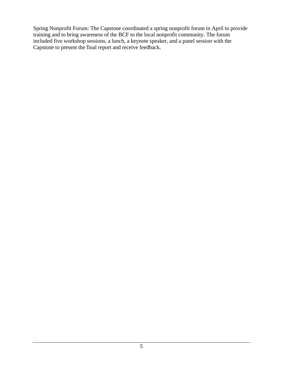Spring Nonprofit Forum: The Capstone coordinated a spring nonprofit forum in April to provide training and to bring awareness of the BCF to the local nonprofit community. The forum included five workshop sessions, a lunch, a keynote speaker, and a panel session with the Capstone to present the final report and receive feedback.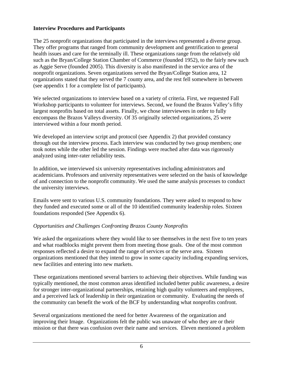#### **Interview Procedures and Participants**

The 25 nonprofit organizations that participated in the interviews represented a diverse group. They offer programs that ranged from community development and gentrification to general health issues and care for the terminally ill. These organizations range from the relatively old such as the Bryan/College Station Chamber of Commerce (founded 1952), to the fairly new such as Aggie Serve (founded 2005). This diversity is also manifested in the service area of the nonprofit organizations. Seven organizations served the Bryan/College Station area, 12 organizations stated that they served the 7 county area, and the rest fell somewhere in between (see appendix 1 for a complete list of participants).

We selected organizations to interview based on a variety of criteria. First, we requested Fall Workshop participants to volunteer for interviews. Second, we found the Brazos Valley's fifty largest nonprofits based on total assets. Finally, we chose interviewees in order to fully encompass the Brazos Valleys diversity. Of 35 originally selected organizations, 25 were interviewed within a four month period.

We developed an interview script and protocol (see Appendix 2) that provided constancy through out the interview process. Each interview was conducted by two group members; one took notes while the other led the session. Findings were reached after data was rigorously analyzed using inter-rater reliability tests.

In addition, we interviewed six university representatives including administrators and academicians. Professors and university representatives were selected on the basis of knowledge of and connection to the nonprofit community. We used the same analysis processes to conduct the university interviews.

Emails were sent to various U.S. community foundations. They were asked to respond to how they funded and executed some or all of the 10 identified community leadership roles. Sixteen foundations responded (See Appendix 6).

# *Opportunities and Challenges Confronting Brazos County Nonprofits*

We asked the organizations where they would like to see themselves in the next five to ten years and what roadblocks might prevent them from meeting those goals. One of the most common responses reflected a desire to expand the range of services or the serve area. Sixteen organizations mentioned that they intend to grow in some capacity including expanding services, new facilities and entering into new markets.

These organizations mentioned several barriers to achieving their objectives. While funding was typically mentioned, the most common areas identified included better public awareness, a desire for stronger inter-organizational partnerships, retaining high quality volunteers and employees, and a perceived lack of leadership in their organization or community. Evaluating the needs of the community can benefit the work of the BCF by understanding what nonprofits confront.

Several organizations mentioned the need for better Awareness of the organization and improving their Image. Organizations felt the public was unaware of who they are or their mission or that there was confusion over their name and services. Eleven mentioned a problem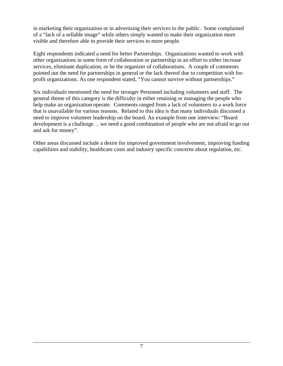in marketing their organization or in advertising their services to the public. Some complained of a "lack of a sellable image" while others simply wanted to make their organization more visible and therefore able to provide their services to more people.

Eight respondents indicated a need for better Partnerships. Organizations wanted to work with other organizations in some form of collaboration or partnership in an effort to either increase services, eliminate duplication, or be the organizer of collaborations. A couple of comments pointed out the need for partnerships in general or the lack thereof due to competition with forprofit organizations. As one respondent stated, "You cannot survive without partnerships."

Six individuals mentioned the need for stronger Personnel including volunteers and staff. The general theme of this category is the difficulty in either retaining or managing the people who help make an organization operate. Comments ranged from a lack of volunteers to a work force that is unavailable for various reasons. Related to this idea is that many individuals discussed a need to improve volunteer leadership on the board. An example from one interview: "Board development is a challenge… we need a good combination of people who are not afraid to go out and ask for money".

Other areas discussed include a desire for improved government involvement, improving funding capabilities and stability, healthcare costs and industry specific concerns about regulation, etc.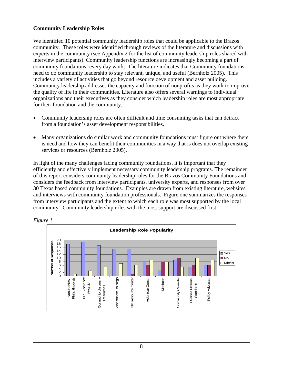#### **Community Leadership Roles**

We identified 10 potential community leadership roles that could be applicable to the Brazos community. These roles were identified through reviews of the literature and discussions with experts in the community (see Appendix 2 for the list of community leadership roles shared with interview participants). Community leadership functions are increasingly becoming a part of community foundations' every day work. The literature indicates that Community foundations need to do community leadership to stay relevant, unique, and useful (Bernholz 2005). This includes a variety of activities that go beyond resource development and asset building. Community leadership addresses the capacity and function of nonprofits as they work to improve the quality of life in their communities. Literature also offers several warnings to individual organizations and their executives as they consider which leadership roles are most appropriate for their foundation and the community.

- Community leadership roles are often difficult and time consuming tasks that can detract from a foundation's asset development responsibilities.
- Many organizations do similar work and community foundations must figure out where there is need and how they can benefit their communities in a way that is does not overlap existing services or resources (Bernholz 2005).

In light of the many challenges facing community foundations, it is important that they efficiently and effectively implement necessary community leadership programs. The remainder of this report considers community leadership roles for the Brazos Community Foundations and considers the feedback from interview participants, university experts, and responses from over 30 Texas based community foundations. Examples are drawn from existing literature, websites and interviews with community foundation professionals. Figure one summarizes the responses from interview participants and the extent to which each role was most supported by the local community. Community leadership roles with the most support are discussed first.



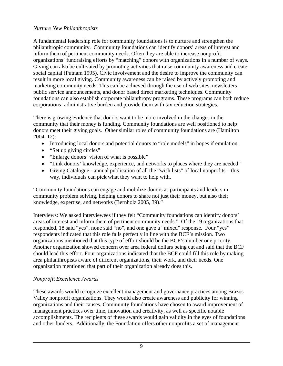#### *Nurture New Philanthropists*

A fundamental leadership role for community foundations is to nurture and strengthen the philanthropic community. Community foundations can identify donors' areas of interest and inform them of pertinent community needs. Often they are able to increase nonprofit organizations' fundraising efforts by "matching" donors with organizations in a number of ways. Giving can also be cultivated by promoting activities that raise community awareness and create social capital (Putnam 1995). Civic involvement and the desire to improve the community can result in more local giving. Community awareness can be raised by actively promoting and marketing community needs. This can be achieved through the use of web sites, newsletters, public service announcements, and donor based direct marketing techniques. Community foundations can also establish corporate philanthropy programs. These programs can both reduce corporations' administrative burden and provide them with tax reduction strategies.

There is growing evidence that donors want to be more involved in the changes in the community that their money is funding. Community foundations are well positioned to help donors meet their giving goals. Other similar roles of community foundations are (Hamilton 2004, 12):

- Introducing local donors and potential donors to "role models" in hopes if emulation.
- "Set up giving circles"
- "Enlarge donors' vision of what is possible"
- "Link donors' knowledge, experience, and networks to places where they are needed"
- Giving Catalogue annual publication of all the "wish lists" of local nonprofits this way, individuals can pick what they want to help with.

"Community foundations can engage and mobilize donors as participants and leaders in community problem solving, helping donors to share not just their money, but also their knowledge, expertise, and networks (Bernholz 2005, 39)."

Interviews: We asked interviewees if they felt "Community foundations can identify donors' areas of interest and inform them of pertinent community needs." Of the 19 organizations that responded, 18 said "yes", none said "no", and one gave a "mixed" response. Four "yes" respondents indicated that this role falls perfectly in line with the BCF's mission. Two organizations mentioned that this type of effort should be the BCF's number one priority. Another organization showed concern over area federal dollars being cut and said that the BCF should lead this effort. Four organizations indicated that the BCF could fill this role by making area philanthropists aware of different organizations, their work, and their needs. One organization mentioned that part of their organization already does this.

#### *Nonprofit Excellence Awards*

These awards would recognize excellent management and governance practices among Brazos Valley nonprofit organizations. They would also create awareness and publicity for winning organizations and their causes. Community foundations have chosen to award improvement of management practices over time, innovation and creativity, as well as specific notable accomplishments. The recipients of these awards would gain validity in the eyes of foundations and other funders. Additionally, the Foundation offers other nonprofits a set of management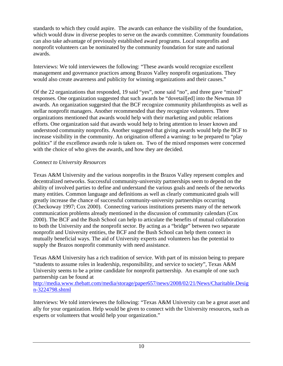standards to which they could aspire. The awards can enhance the visibility of the foundation, which would draw in diverse peoples to serve on the awards committee. Community foundations can also take advantage of previously established award programs. Local nonprofits and nonprofit volunteers can be nominated by the community foundation for state and national awards.

Interviews: We told interviewees the following: "These awards would recognize excellent management and governance practices among Brazos Valley nonprofit organizations. They would also create awareness and publicity for winning organizations and their causes."

Of the 22 organizations that responded, 19 said "yes", none said "no", and three gave "mixed" responses. One organization suggested that such awards be "dovetail[ed] into the Newman 10 awards. An organization suggested that the BCF recognize community philanthropists as well as stellar nonprofit managers. Another recommended that they recognize volunteers. Three organizations mentioned that awards would help with their marketing and public relations efforts. One organization said that awards would help to bring attention to lesser known and understood community nonprofits. Another suggested that giving awards would help the BCF to increase visibility in the community. An origination offered a warning: to be prepared to "play politics" if the excellence awards role is taken on. Two of the mixed responses were concerned with the choice of who gives the awards, and how they are decided.

#### *Connect to University Resources*

Texas A&M University and the various nonprofits in the Brazos Valley represent complex and decentralized networks. Successful community-university partnerships seem to depend on the ability of involved parties to define and understand the various goals and needs of the networks many entities. Common language and definitions as well as clearly communicated goals will greatly increase the chance of successful community-university partnerships occurring (Checkoway 1997; Cox 2000). Connecting various institutions presents many of the network communication problems already mentioned in the discussion of community calendars (Cox 2000). The BCF and the Bush School can help to articulate the benefits of mutual collaboration to both the University and the nonprofit sector. By acting as a "bridge" between two separate nonprofit and University entities, the BCF and the Bush School can help them connect in mutually beneficial ways. The aid of University experts and volunteers has the potential to supply the Brazos nonprofit community with need assistance.

Texas A&M University has a rich tradition of service. With part of its mission being to prepare "students to assume roles in leadership, responsibility, and service to society", Texas A&M University seems to be a prime candidate for nonprofit partnership. An example of one such partnership can be found at

http://media.www.thebatt.com/media/storage/paper657/news/2008/02/21/News/Charitable.Desig n-3224798.shtml

Interviews: We told interviewees the following: "Texas A&M University can be a great asset and ally for your organization. Help would be given to connect with the University resources, such as experts or volunteers that would help your organization."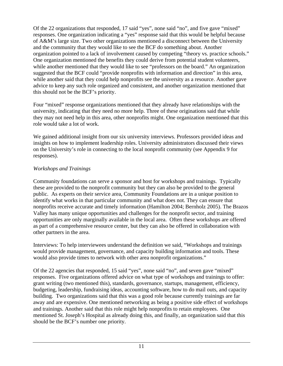Of the 22 organizations that responded, 17 said "yes", none said "no", and five gave "mixed" responses. One organization indicating a "yes" response said that this would be helpful because of A&M's large size. Two other organizations mentioned a disconnect between the University and the community that they would like to see the BCF do something about. Another organization pointed to a lack of involvement caused by competing "theory vs. practice schools." One organization mentioned the benefits they could derive from potential student volunteers, while another mentioned that they would like to see "professors on the board." An organization suggested that the BCF could "provide nonprofits with information and direction" in this area, while another said that they could help nonprofits see the university as a resource. Another gave advice to keep any such role organized and consistent, and another organization mentioned that this should not be the BCF's priority.

Four "mixed" response organizations mentioned that they already have relationships with the university, indicating that they need no more help. Three of these originations said that while they may not need help in this area, other nonprofits might. One organization mentioned that this role would take a lot of work.

We gained additional insight from our six university interviews. Professors provided ideas and insights on how to implement leadership roles. University administrators discussed their views on the University's role in connecting to the local nonprofit community (see Appendix 9 for responses).

# *Workshops and Trainings*

Community foundations can serve a sponsor and host for workshops and trainings. Typically these are provided to the nonprofit community but they can also be provided to the general public. As experts on their service area, Community Foundations are in a unique position to identify what works in that particular community and what does not. They can ensure that nonprofits receive accurate and timely information (Hamilton 2004; Bernholz 2005). The Brazos Valley has many unique opportunities and challenges for the nonprofit sector, and training opportunities are only marginally available in the local area. Often these workshops are offered as part of a comprehensive resource center, but they can also be offered in collaboration with other partners in the area.

Interviews: To help interviewees understand the definition we said, "Workshops and trainings would provide management, governance, and capacity building information and tools. These would also provide times to network with other area nonprofit organizations."

Of the 22 agencies that responded, 15 said "yes", none said "no", and seven gave "mixed" responses. Five organizations offered advice on what type of workshops and trainings to offer: grant writing (two mentioned this), standards, governance, startups, management, efficiency, budgeting, leadership, fundraising ideas, accounting software, how to do mail outs, and capacity building. Two organizations said that this was a good role because currently trainings are far away and are expensive. One mentioned networking as being a positive side effect of workshops and trainings. Another said that this role might help nonprofits to retain employees. One mentioned St. Joseph's Hospital as already doing this, and finally, an organization said that this should be the BCF's number one priority.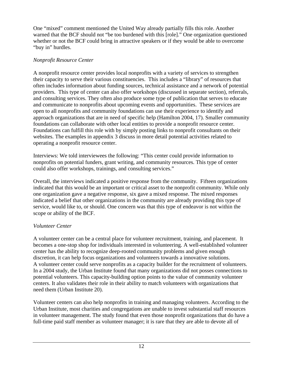One "mixed" comment mentioned the United Way already partially fills this role. Another warned that the BCF should not "be too burdened with this [role]." One organization questioned whether or not the BCF could bring in attractive speakers or if they would be able to overcome "buy in" hurdles.

#### *Nonprofit Resource Center*

A nonprofit resource center provides local nonprofits with a variety of services to strengthen their capacity to serve their various constituencies. This includes a "library" of resources that often includes information about funding sources, technical assistance and a network of potential providers. This type of center can also offer workshops (discussed in separate section), referrals, and consulting services. They often also produce some type of publication that serves to educate and communicate to nonprofits about upcoming events and opportunities. These services are open to all nonprofits and community foundations can use their experience to identify and approach organizations that are in need of specific help (Hamilton 2004, 17). Smaller community foundations can collaborate with other local entities to provide a nonprofit resource center. Foundations can fulfill this role with by simply posting links to nonprofit consultants on their websites. The examples in appendix 3 discuss in more detail potential activities related to operating a nonprofit resource center.

Interviews: We told interviewees the following: "This center could provide information to nonprofits on potential funders, grant writing, and community resources. This type of center could also offer workshops, trainings, and consulting services."

Overall, the interviews indicated a positive response from the community. Fifteen organizations indicated that this would be an important or critical asset to the nonprofit community. While only one organization gave a negative response, six gave a mixed response. The mixed responses indicated a belief that other organizations in the community are already providing this type of service, would like to, or should. One concern was that this type of endeavor is not within the scope or ability of the BCF.

# *Volunteer Center*

A volunteer center can be a central place for volunteer recruitment, training, and placement. It becomes a one-stop shop for individuals interested in volunteering. A well-established volunteer center has the ability to recognize deep-rooted community problems and given enough discretion, it can help focus organizations and volunteers towards a innovative solutions. A volunteer center could serve nonprofits as a capacity builder for the recruitment of volunteers. In a 2004 study, the Urban Institute found that many organizations did not posses connections to potential volunteers. This capacity-building option points to the value of community volunteer centers. It also validates their role in their ability to match volunteers with organizations that need them (Urban Institute 20).

Volunteer centers can also help nonprofits in training and managing volunteers. According to the Urban Institute, most charities and congregations are unable to invest substantial staff resources in volunteer management. The study found that even those nonprofit organizations that do have a full-time paid staff member as volunteer manager; it is rare that they are able to devote all of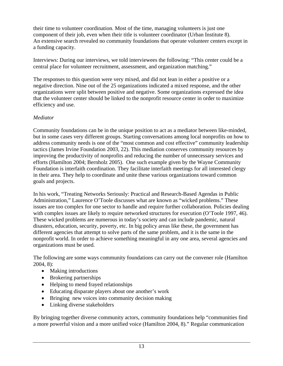their time to volunteer coordination. Most of the time, managing volunteers is just one component of their job, even when their title is volunteer coordinator (Urban Institute 8). An extensive search revealed no community foundations that operate volunteer centers except in a funding capacity.

Interviews: During our interviews, we told interviewees the following: "This center could be a central place for volunteer recruitment, assessment, and organization matching."

The responses to this question were very mixed, and did not lean in either a positive or a negative direction. Nine out of the 25 organizations indicated a mixed response, and the other organizations were split between positive and negative. Some organizations expressed the idea that the volunteer center should be linked to the nonprofit resource center in order to maximize efficiency and use.

#### *Mediator*

Community foundations can be in the unique position to act as a mediator between like-minded, but in some cases very different groups. Starting conversations among local nonprofits on how to address community needs is one of the "most common and cost effective" community leadership tactics (James Irvine Foundation 2003, 22). This mediation conserves community resources by improving the productivity of nonprofits and reducing the number of unnecessary services and efforts (Hamilton 2004; Bernholz 2005). One such example given by the Wayne Community Foundation is interfaith coordination. They facilitate interfaith meetings for all interested clergy in their area. They help to coordinate and unite these various organizations toward common goals and projects.

In his work, "Treating Networks Seriously: Practical and Research-Based Agendas in Public Administration," Laurence O'Toole discusses what are known as "wicked problems." These issues are too complex for one sector to handle and require further collaboration. Policies dealing with complex issues are likely to require networked structures for execution (O'Toole 1997, 46). These wicked problems are numerous in today's society and can include pandemic, natural disasters, education, security, poverty, etc. In big policy areas like these, the government has different agencies that attempt to solve parts of the same problem, and it is the same in the nonprofit world. In order to achieve something meaningful in any one area, several agencies and organizations must be used.

The following are some ways community foundations can carry out the convener role (Hamilton 2004, 8):

- Making introductions
- Brokering partnerships
- Helping to mend frayed relationships
- Educating disparate players about one another's work
- Bringing new voices into community decision making
- Linking diverse stakeholders

By bringing together diverse community actors, community foundations help "communities find a more powerful vision and a more unified voice (Hamilton 2004, 8)." Regular communication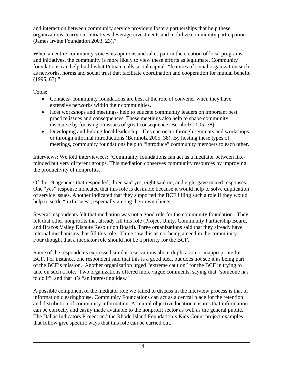and interaction between community service providers fosters partnerships that help these organizations "carry out initiatives, leverage investments and mobilize community participation (James Irvine Foundation 2003, 23)."

When an entire community voices its opinions and takes part in the creation of local programs and initiatives, the community is more likely to view these efforts as legitimate. Community foundations can help build what Putnam calls social capital- "features of social organization such as networks, norms and social trust that facilitate coordination and cooperation for mutual benefit  $(1995, 67)$ ."

Tools:

- Contacts- community foundations are best at the role of convener when they have extensive networks within their communities.
- Host workshops and meetings- help to educate community leaders on important best practice issues and consequences. These meetings also help to shape community discourse by focusing on issues of great consequence (Bernholz 2005, 38).
- Developing and linking local leadership-This can occur through seminars and workshops or through informal introductions (Bernholz 2005, 38). By hosting these types of meetings, community foundations help to "introduce" community members to each other.

Interviews: We told interviewees: "Community foundations can act as a mediator between likeminded but very different groups. This mediation conserves community resources by improving the productivity of nonprofits."

Of the 19 agencies that responded, three said yes, eight said no, and eight gave mixed responses. One "yes" response indicated that this role is desirable because it would help to solve duplication of service issues. Another indicated that they supported the BCF filling such a role if they would help to settle "turf issues", especially among their own clients.

Several respondents felt that mediation was not a good role for the community foundation. They felt that other nonprofits that already fill this role (Project Unity, Community Partnership Board, and Brazos Valley Dispute Resolution Board). Three organizations said that they already have internal mechanisms that fill this role. Three saw this as not being a need in the community. Four thought that a mediator role should not be a priority for the BCF.

Some of the respondents expressed similar reservations about duplication or inappropriate for BCF. For instance, one respondent said that this is a good idea, but does not see it as being part of the BCF's mission. Another organization urged "extreme caution" for the BCF in trying to take on such a role. Two organizations offered more vague comments, saying that "someone has to do it", and that it's "an interesting idea."

A possible component of the mediator role we failed to discuss in the interview process is that of information clearinghouse. Community Foundations can act as a central place for the retention and distribution of community information. A central objective location ensures that information can be correctly and easily made available to the nonprofit sector as well as the general public. The Dallas Indicators Project and the Rhode Island Foundation's Kids Count project examples that follow give specific ways that this role can be carried out.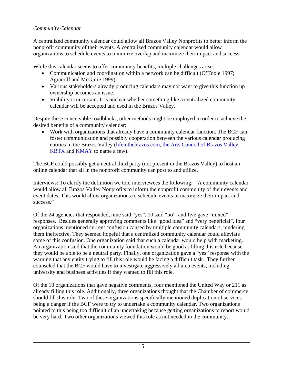# *Community Calendar*

A centralized community calendar could allow all Brazos Valley Nonprofits to better inform the nonprofit community of their events. A centralized community calendar would allow organizations to schedule events to minimize overlap and maximize their impact and success.

While this calendar seems to offer community benefits, multiple challenges arise:

- Communication and coordination within a network can be difficult (O'Toole 1997; Agranoff and McGuire 1999).
- Various stakeholders already producing calendars may not want to give this function up ownership becomes an issue.
- Viability is uncertain. It is unclear whether something like a centralized community calendar will be accepted and used in the Brazos Valley.

Despite these conceivable roadblocks, other methods might be employed in order to achieve the desired benefits of a community calendar:

• Work with organizations that already have a community calendar function. The BCF can foster communication and possibly cooperation between the various calendar producing entities in the Brazos Valley (lifeinthebrazos.com, the Arts Council of Brazos Valley, KBTX and KMAY to name a few).

The BCF could possibly get a neutral third party (not present in the Brazos Valley) to host an online calendar that all in the nonprofit community can post to and utilize.

Interviews: To clarify the definition we told interviewees the following: "A community calendar would allow all Brazos Valley Nonprofits to inform the nonprofit community of their events and event dates. This would allow organizations to schedule events to maximize their impact and success."

Of the 24 agencies that responded, nine said "yes", 10 said "no", and five gave "mixed" responses. Besides generally approving comments like "good idea" and "very beneficial", four organizations mentioned current confusion caused by multiple community calendars, rendering them ineffective. They seemed hopeful that a centralized community calendar could alleviate some of this confusion. One organization said that such a calendar would help with marketing. An organization said that the community foundation would be good at filling this role because they would be able to be a neutral party. Finally, one organization gave a "yes" response with the warning that any entity trying to fill this role would be facing a difficult task. They further counseled that the BCF would have to investigate aggressively all area events, including university and business activities if they wanted to fill this role.

Of the 10 organizations that gave negative comments, four mentioned the United Way or 211 as already filling this role. Additionally, three organizations thought that the Chamber of commerce should fill this role. Two of these organizations specifically mentioned duplication of services being a danger if the BCF were to try to undertake a community calendar. Two organizations pointed to this being too difficult of an undertaking because getting organizations to report would be very hard. Two other organizations viewed this role as not needed in the community.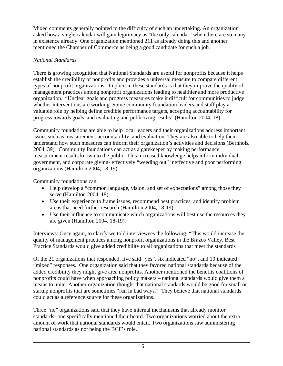Mixed comments generally pointed to the difficulty of such an undertaking. An organization asked how a single calendar will gain legitimacy as "the only calendar" when there are so many in existence already. One organization mentioned 211 as already doing this and another mentioned the Chamber of Commerce as being a good candidate for such a job.

# *National Standards*

There is growing recognition that National Standards are useful for nonprofits because it helps establish the credibility of nonprofits and provides a universal measure to compare different types of nonprofit organizations. Implicit in these standards is that they improve the quality of management practices among nonprofit organizations leading to healthier and more productive organization. "Unclear goals and progress measures make it difficult for communities to judge whether interventions are working. Some community foundation leaders and staff play a valuable role by helping define credible performance targets, accepting accountability for progress towards goals, and evaluating and publicizing results" (Hamilton 2004, 18).

Community foundations are able to help local leaders and their organizations address important issues such as measurement, accountability, and evaluation. They are also able to help them understand how such measures can inform their organization's activities and decisions (Bernholz 2004, 39). Community foundations can act as a gatekeeper by making performance measurement results known to the public. This increased knowledge helps inform individual, government, and corporate giving- effectively "weeding out" ineffective and poor performing organizations (Hamilton 2004, 18-19).

Community foundations can:

- Help develop a "common language, vision, and set of expectations" among those they serve (Hamilton 2004, 19).
- Use their experience to frame issues, recommend best practices, and identify problem areas that need further research (Hamilton 2004, 18-19).
- Use their influence to communicate which organizations will best use the resources they are given (Hamilton 2004, 18-19).

Interviews: Once again, to clarify we told interviewees the following: "This would increase the quality of management practices among nonprofit organizations in the Brazos Valley. Best Practice Standards would give added credibility to all organizations that meet the standards

Of the 21 organizations that responded, five said "yes", six indicated "no", and 10 indicated "mixed" responses. One organization said that they favored national standards because of the added credibility they might give area nonprofits. Another mentioned the benefits coalitions of nonprofits could have when approaching policy makers – national standards would give them a means to unite. Another organization thought that national standards would be good for small or startup nonprofits that are sometimes "run in bad ways." They believe that national standards could act as a reference source for these organizations.

Three "no" organizations said that they have internal mechanisms that already monitor standards- one specifically mentioned their board. Two organizations worried about the extra amount of work that national standards would entail. Two organizations saw administering national standards as not being the BCF's role.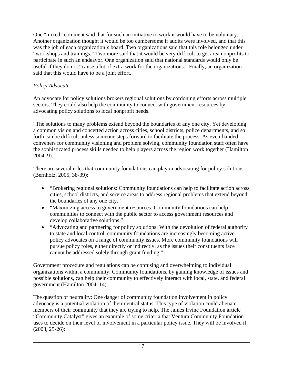One "mixed" comment said that for such an initiative to work it would have to be voluntary. Another organization thought it would be too cumbersome if audits were involved, and that this was the job of each organization's board. Two organizations said that this role belonged under "workshops and trainings." Two more said that it would be very difficult to get area nonprofits to participate in such an endeavor. One organization said that national standards would only be useful if they do not "cause a lot of extra work for the organizations." Finally, an organization said that this would have to be a joint effort.

# *Policy Advocate*

An advocate for policy solutions brokers regional solutions by cordoning efforts across multiple sectors. They could also help the community to connect with government resources by advocating policy solutions to local nonprofit needs.

"The solutions to many problems extend beyond the boundaries of any one city. Yet developing a common vision and concerted action across cities, school districts, police departments, and so forth can be difficult unless someone steps forward to facilitate the process. As even-handed conveners for community visioning and problem solving, community foundation staff often have the sophisticated process skills needed to help players across the region work together (Hamilton  $2004, 9$ ."

There are several roles that community foundations can play in advocating for policy solutions (Bernholz, 2005, 38-39):

- "Brokering regional solutions: Community foundations can help to facilitate action across cities, school districts, and service areas to address regional problems that extend beyond the boundaries of any one city."
- "Maximizing access to government resources: Community foundations can help communities to connect with the public sector to access government resources and develop collaborative solutions."
- "Advocating and partnering for policy solutions: With the devolution of federal authority to state and local control, community foundations are increasingly becoming active policy advocates on a range of community issues. More community foundations will pursue policy roles, either directly or indirectly, as the issues their constituents face cannot be addressed solely through grant funding."

Government procedure and regulations can be confusing and overwhelming to individual organizations within a community. Community foundations, by gaining knowledge of issues and possible solutions, can help their community to effectively interact with local, state, and federal government (Hamilton 2004, 14).

The question of neutrality: One danger of community foundation involvement in policy advocacy is a potential violation of their neutral status. This type of violation could alienate members of their community that they are trying to help. The James Irvine Foundation article "Community Catalyst" gives an example of some criteria that Ventura Community Foundation uses to decide on their level of involvement in a particular policy issue. They will be involved if (2003, 25-26):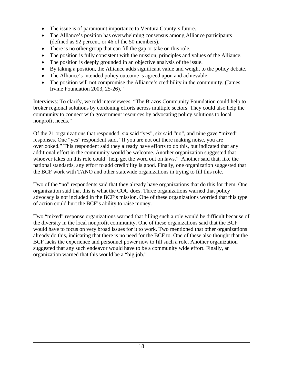- The issue is of paramount importance to Ventura County's future.
- The Alliance's position has overwhelming consensus among Alliance participants (defined as 92 percent, or 46 of the 50 members).
- There is no other group that can fill the gap or take on this role.
- The position is fully consistent with the mission, principles and values of the Alliance.
- The position is deeply grounded in an objective analysis of the issue.
- By taking a position, the Alliance adds significant value and weight to the policy debate.
- The Alliance's intended policy outcome is agreed upon and achievable.
- The position will not compromise the Alliance's credibility in the community. (James Irvine Foundation 2003, 25-26)."

Interviews: To clarify, we told interviewees: "The Brazos Community Foundation could help to broker regional solutions by cordoning efforts across multiple sectors. They could also help the community to connect with government resources by advocating policy solutions to local nonprofit needs."

Of the 21 organizations that responded, six said "yes", six said "no", and nine gave "mixed" responses. One "yes" respondent said, "If you are not out there making noise, you are overlooked." This respondent said they already have efforts to do this, but indicated that any additional effort in the community would be welcome. Another organization suggested that whoever takes on this role could "help get the word out on laws." Another said that, like the national standards, any effort to add credibility is good. Finally, one organization suggested that the BCF work with TANO and other statewide organizations in trying to fill this role.

Two of the "no" respondents said that they already have organizations that do this for them. One organization said that this is what the COG does. Three organizations warned that policy advocacy is not included in the BCF's mission. One of these organizations worried that this type of action could hurt the BCF's ability to raise money.

Two "mixed" response organizations warned that filling such a role would be difficult because of the diversity in the local nonprofit community. One of these organizations said that the BCF would have to focus on very broad issues for it to work. Two mentioned that other organizations already do this, indicating that there is no need for the BCF to. One of these also thought that the BCF lacks the experience and personnel power now to fill such a role. Another organization suggested that any such endeavor would have to be a community wide effort. Finally, an organization warned that this would be a "big job."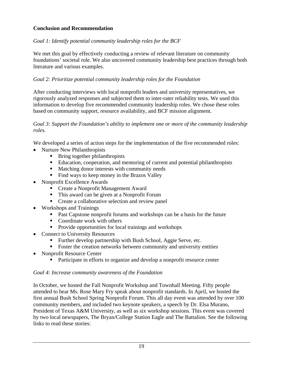# **Conclusion and Recommendation**

# *Goal 1: Identify potential community leadership roles for the BCF*

We met this goal by effectively conducting a review of relevant literature on community foundations' societal role. We also uncovered community leadership best practices through both literature and various examples.

# *Goal 2: Prioritize potential community leadership roles for the Foundation*

After conducting interviews with local nonprofit leaders and university representatives, we rigorously analyzed responses and subjected them to inter-rater reliability tests. We used this information to develop five recommended community leadership roles. We chose these roles based on community support, resource availability, and BCF mission alignment.

#### *Goal 3: Support the Foundation's ability to implement one or more of the community leadership roles.*

We developed a series of action steps for the implementation of the five recommended roles:

- Nurture New Philanthropists
	- Bring together philanthropists
	- Education, cooperation, and mentoring of current and potential philanthropists
	- **Matching donor interests with community needs**
	- Find ways to keep money in the Brazos Valley
- Nonprofit Excellence Awards
	- Create a Nonprofit Management Award
	- This award can be given at a Nonprofit Forum
	- **Create a collaborative selection and review panel**
- Workshops and Trainings
	- **Past Capstone nonprofit forums and workshops can be a basis for the future**
	- Coordinate work with others
	- **Provide opportunities for local trainings and workshops**
- Connect to University Resources
	- Further develop partnership with Bush School, Aggie Serve, etc.
	- Foster the creation networks between community and university entities
- Nonprofit Resource Center
	- Participate in efforts to organize and develop a nonprofit resource center

#### *Goal 4: Increase community awareness of the Foundation*

In October, we hosted the Fall Nonprofit Workshop and Townhall Meeting. Fifty people attended to hear Ms. Rose Mary Fry speak about nonprofit standards. In April, we hosted the first annual Bush School Spring Nonprofit Forum. This all day event was attended by over 100 community members, and included two keynote speakers, a speech by Dr. Elsa Murano, President of Texas A&M University, as well as six workshop sessions. This event was covered by two local newspapers, The Bryan/College Station Eagle and The Battalion. See the following links to read these stories: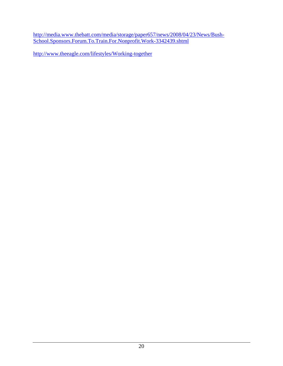http://media.www.thebatt.com/media/storage/paper657/news/2008/04/23/News/Bush-School.Sponsors.Forum.To.Train.For.Nonprofit.Work-3342439.shtml

http://www.theeagle.com/lifestyles/Working-together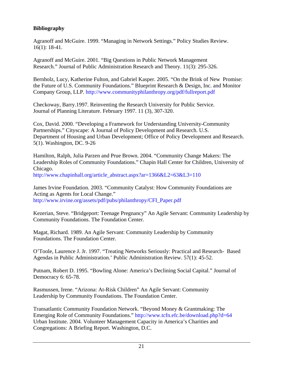# **Bibliography**

Agranoff and McGuire. 1999. "Managing in Network Settings." Policy Studies Review. 16(1): 18-41.

Agranoff and McGuire. 2001. "Big Questions in Public Network Management Research." Journal of Public Administration Research and Theory. 11(3): 295-326.

Bernholz, Lucy, Katherine Fulton, and Gabriel Kasper. 2005. "On the Brink of New Promise: the Future of U.S. Community Foundations." Blueprint Research & Design, Inc. and Monitor Company Group, LLP. http://www.communityphilanthropy.org/pdf/fullreport.pdf

Checkoway, Barry.1997. Reinventing the Research University for Public Service. Journal of Planning Literature. February 1997. 11 (3), 307-320.

Cox, David. 2000. "Developing a Framework for Understanding University-Community Partnerships." Cityscape: A Journal of Policy Development and Research. U.S. Department of Housing and Urban Development; Office of Policy Development and Research. 5(1). Washington, DC. 9-26

Hamilton, Ralph, Julia Parzen and Prue Brown. 2004. "Community Change Makers: The Leadership Roles of Community Foundations." Chapin Hall Center for Children, University of Chicago.

http://www.chapinhall.org/article\_abstract.aspx?ar=1366&L2=63&L3=110

James Irvine Foundation. 2003. "Community Catalyst: How Community Foundations are Acting as Agents for Local Change." http://www.irvine.org/assets/pdf/pubs/philanthropy/CFI\_Paper.pdf

Kezerian, Steve. "Bridgeport: Teenage Pregnancy" An Agile Servant: Community Leadership by Community Foundations. The Foundation Center.

Magat, Richard. 1989. An Agile Servant: Community Leadership by Community Foundations. The Foundation Center.

O'Toole, Laurence J. Jr. 1997. "Treating Networks Seriously: Practical and Research- Based Agendas in Public Administration.' Public Administration Review. 57(1): 45-52.

Putnam, Robert D. 1995. "Bowling Alone: America's Declining Social Capital." Journal of Democracy 6: 65-78.

Rasmussen, Irene. "Arizona: At-Risk Children" An Agile Servant: Community Leadership by Community Foundations. The Foundation Center.

Transatlantic Community Foundation Network. "Beyond Money & Grantmaking: The Emerging Role of Community Foundations." http://www.tcfn.efc.be/download.php?d=64 Urban Institute. 2004. Volunteer Management Capacity in America's Charities and Congregations: A Briefing Report. Washington, D.C.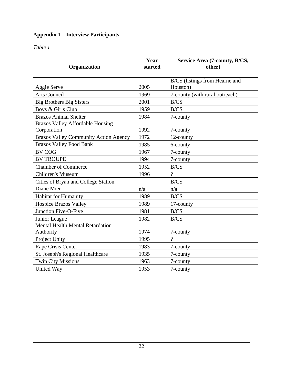# **Appendix 1 – Interview Participants**

*Table 1* 

|                                              | Year    | Service Area (7-county, B/CS,  |
|----------------------------------------------|---------|--------------------------------|
| Organization                                 | started | other)                         |
|                                              |         | B/CS (listings from Hearne and |
| Aggie Serve                                  | 2005    | Houston)                       |
| <b>Arts Council</b>                          | 1969    | 7-county (with rural outreach) |
| <b>Big Brothers Big Sisters</b>              | 2001    | B/CS                           |
| Boys & Girls Club                            | 1959    | B/CS                           |
| <b>Brazos Animal Shelter</b>                 | 1984    | 7-county                       |
| <b>Brazos Valley Affordable Housing</b>      |         |                                |
| Corporation                                  | 1992    | 7-county                       |
| <b>Brazos Valley Community Action Agency</b> | 1972    | 12-county                      |
| <b>Brazos Valley Food Bank</b>               | 1985    | 6-county                       |
| <b>BV COG</b>                                | 1967    | 7-county                       |
| <b>BV TROUPE</b>                             | 1994    | 7-county                       |
| <b>Chamber of Commerce</b>                   | 1952    | B/CS                           |
| <b>Children's Museum</b>                     | 1996    | $\gamma$                       |
| Cities of Bryan and College Station          |         | B/CS                           |
| Diane Mier                                   | n/a     | n/a                            |
| Habitat for Humanity                         | 1989    | B/CS                           |
| <b>Hospice Brazos Valley</b>                 | 1989    | 17-county                      |
| Junction Five-O-Five                         | 1981    | B/CS                           |
| Junior League                                | 1982    | B/CS                           |
| <b>Mental Health Mental Retardation</b>      |         |                                |
| Authority                                    | 1974    | 7-county                       |
| Project Unity                                | 1995    | $\gamma$                       |
| Rape Crisis Center                           | 1983    | 7-county                       |
| St. Joseph's Regional Healthcare             | 1935    | 7-county                       |
| <b>Twin City Missions</b>                    | 1963    | 7-county                       |
| <b>United Way</b>                            | 1953    | 7-county                       |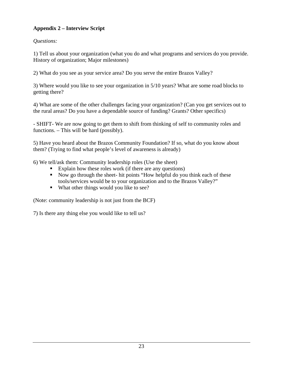# **Appendix 2 – Interview Script**

*Questions:* 

1) Tell us about your organization (what you do and what programs and services do you provide. History of organization; Major milestones)

2) What do you see as your service area? Do you serve the entire Brazos Valley?

3) Where would you like to see your organization in 5/10 years? What are some road blocks to getting there?

4) What are some of the other challenges facing your organization? (Can you get services out to the rural areas? Do you have a dependable source of funding? Grants? Other specifics)

- SHIFT- We are now going to get them to shift from thinking of self to community roles and functions. – This will be hard (possibly).

5) Have you heard about the Brazos Community Foundation? If so, what do you know about them? (Trying to find what people's level of awareness is already)

6) We tell/ask them: Community leadership roles (Use the sheet)

- Explain how these roles work (if there are any questions)
- Now go through the sheet- hit points "How helpful do you think each of these tools/services would be to your organization and to the Brazos Valley?"
- What other things would you like to see?

(Note: community leadership is not just from the BCF)

7) Is there any thing else you would like to tell us?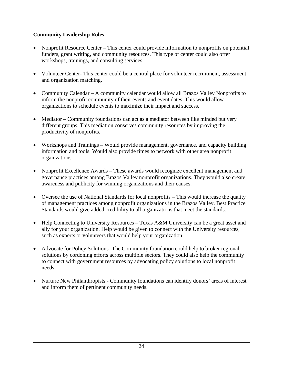# **Community Leadership Roles**

- Nonprofit Resource Center This center could provide information to nonprofits on potential funders, grant writing, and community resources. This type of center could also offer workshops, trainings, and consulting services.
- Volunteer Center- This center could be a central place for volunteer recruitment, assessment, and organization matching.
- Community Calendar A community calendar would allow all Brazos Valley Nonprofits to inform the nonprofit community of their events and event dates. This would allow organizations to schedule events to maximize their impact and success.
- Mediator Community foundations can act as a mediator between like minded but very different groups. This mediation conserves community resources by improving the productivity of nonprofits.
- Workshops and Trainings Would provide management, governance, and capacity building information and tools. Would also provide times to network with other area nonprofit organizations.
- Nonprofit Excellence Awards These awards would recognize excellent management and governance practices among Brazos Valley nonprofit organizations. They would also create awareness and publicity for winning organizations and their causes.
- Oversee the use of National Standards for local nonprofits This would increase the quality of management practices among nonprofit organizations in the Brazos Valley. Best Practice Standards would give added credibility to all organizations that meet the standards.
- Help Connecting to University Resources Texas A&M University can be a great asset and ally for your organization. Help would be given to connect with the University resources, such as experts or volunteers that would help your organization.
- Advocate for Policy Solutions- The Community foundation could help to broker regional solutions by cordoning efforts across multiple sectors. They could also help the community to connect with government resources by advocating policy solutions to local nonprofit needs.
- Nurture New Philanthropists Community foundations can identify donors' areas of interest and inform them of pertinent community needs.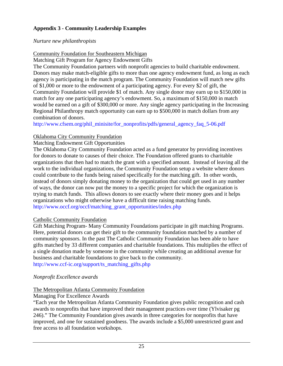# **Appendix 3 - Community Leadership Examples**

# *Nurture new philanthropists*

# Community Foundation for Southeastern Michigan

Matching Gift Program for Agency Endowment Gifts

The Community Foundation partners with nonprofit agencies to build charitable endowment. Donors may make match-eligible gifts to more than one agency endowment fund, as long as each agency is participating in the match program. The Community Foundation will match new gifts of \$1,000 or more to the endowment of a participating agency. For every \$2 of gift, the Community Foundation will provide \$1 of match. Any single donor may earn up to \$150,000 in match for any one participating agency's endowment. So, a maximum of \$150,000 in match would be earned on a gift of \$300,000 or more. Any single agency participating in the Increasing Regional Philanthropy match opportunity can earn up to \$500,000 in match dollars from any combination of donors.

http://www.cfsem.org/phil\_minisite/for\_nonprofits/pdfs/general\_agency\_faq\_5-06.pdf

# Oklahoma City Community Foundation

# Matching Endowment Gift Opportunities

The Oklahoma City Community Foundation acted as a fund generator by providing incentives for donors to donate to causes of their choice. The Foundation offered grants to charitable organizations that then had to match the grant with a specified amount. Instead of leaving all the work to the individual organizations, the Community Foundation setup a website where donors could contribute to the funds being raised specifically for the matching gift. In other words, instead of donors simply donating money to the organization that could get used in any number of ways, the donor can now put the money to a specific project for which the organization is trying to match funds. This allows donors to see exactly where their money goes and it helps organizations who might otherwise have a difficult time raising matching funds. http://www.occf.org/occf/matching\_grant\_opportunities/index.php

# Catholic Community Foundation

Gift Matching Program- Many Community Foundations participate in gift matching Programs. Here, potential donors can get their gift to the community foundation matched by a number of community sponsors. In the past The Catholic Community Foundation has been able to have gifts matched by 33 different companies and charitable foundations. This multiplies the effect of a single donation made by someone in the community while creating an additional avenue for business and charitable foundations to give back to the community. http://www.ccf-ic.org/support/ts\_matching\_gifts.php

# *Nonprofit Excellence awards*

# The Metropolitan Atlanta Community Foundation

# Managing For Excellence Awards

"Each year the Metropolitan Atlanta Community Foundation gives public recognition and cash awards to nonprofits that have improved their management practices over time (Ylvisaker pg 246)." The Community Foundation gives awards in three categories for nonprofits that have improved, and one for sustained goodness. The awards include a \$5,000 unrestricted grant and free access to all foundation workshops.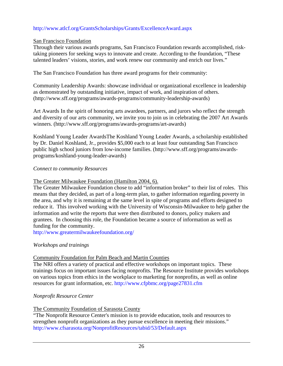#### http://www.atlcf.org/GrantsScholarships/Grants/ExcellenceAward.aspx

#### San Francisco Foundation

Through their various awards programs, San Francisco Foundation rewards accomplished, risktaking pioneers for seeking ways to innovate and create. According to the foundation, "These talented leaders' visions, stories, and work renew our community and enrich our lives."

The San Francisco Foundation has three award programs for their community:

Community Leadership Awards: showcase individual or organizational excellence in leadership as demonstrated by outstanding initiative, impact of work, and inspiration of others. (http://www.sff.org/programs/awards-programs/community-leadership-awards)

Art Awards In the spirit of honoring arts awardees, partners, and jurors who reflect the strength and diversity of our arts community, we invite you to join us in celebrating the 2007 Art Awards winners. (http://www.sff.org/programs/awards-programs/art-awards)

Koshland Young Leader AwardsThe Koshland Young Leader Awards, a scholarship established by Dr. Daniel Koshland, Jr., provides \$5,000 each to at least four outstanding San Francisco public high school juniors from low-income families. (http://www.sff.org/programs/awardsprograms/koshland-young-leader-awards)

#### *Connect to community Resources*

The Greater Milwaukee Foundation (Hamilton 2004, 6).

The Greater Milwaukee Foundation chose to add "information broker" to their list of roles. This means that they decided, as part of a long-term plan, to gather information regarding poverty in the area, and why it is remaining at the same level in spite of programs and efforts designed to reduce it. This involved working with the University of Wisconsin-Milwaukee to help gather the information and write the reports that were then distributed to donors, policy makers and grantees. In choosing this role, the Foundation became a source of information as well as funding for the community.

http://www.greatermilwaukeefoundation.org/

#### *Workshops and trainings*

#### Community Foundation for Palm Beach and Martin Counties

The NRI offers a variety of practical and effective workshops on important topics. These trainings focus on important issues facing nonprofits. The Resource Institute provides workshops on various topics from ethics in the workplace to marketing for nonprofits, as well as online resources for grant information, etc. http://www.cfpbmc.org/page27831.cfm

#### *Nonprofit Resource Center*

# The Community Foundation of Sarasota County

"The Nonprofit Resource Center's mission is to provide education, tools and resources to strengthen nonprofit organizations as they pursue excellence in meeting their missions." http://www.cfsarasota.org/NonprofitResources/tabid/53/Default.aspx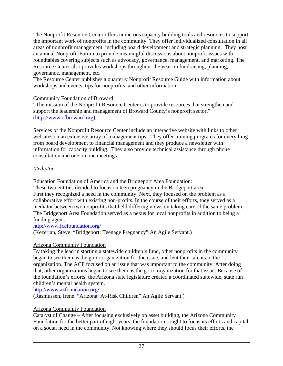The Nonprofit Resource Center offers numerous capacity building tools and resources to support the important work of nonprofits in the community. They offer individualized consultation in all areas of nonprofit management, including board development and strategic planning. They host an annual Nonprofit Forum to provide meaningful discussions about nonprofit issues with roundtables covering subjects such as advocacy, governance, management, and marketing. The Resource Center also provides workshops throughout the year on fundraising, planning, governance, management, etc.

The Resource Center publishes a quarterly Nonprofit Resource Guide with information about workshops and events, tips for nonprofits, and other information.

#### Community Foundation of Broward

"The mission of the Nonprofit Resource Center is to provide resources that strengthen and support the leadership and management of Broward County's nonprofit sector." (http://www.cfbroward.org)

Services of the Nonprofit Resource Center include an interactive website with links to other websites on an extensive array of management tips. They offer training programs for everything from board development to financial management and they produce a newsletter with information for capacity building. They also provide technical assistance through phone consultation and one on one meetings.

# *Mediator*

Education Foundation of America and the Bridgeport Area Foundation:

These two entities decided to focus on teen pregnancy in the Bridgeport area. First they recognized a need in the community. Next, they focused on the problem as a collaborative effort with existing non-profits. In the course of their efforts, they served as a mediator between two nonprofits that held differing views on taking care of the same problem. The Bridgeport Area Foundation served as a nexus for local nonprofits in addition to being a funding agent.

http://www.fccfoundation.org/

(Kezerian, Steve. "Bridgeport: Teenage Pregnancy" An Agile Servant.)

# Arizona Community Foundation

By taking the lead in starting a statewide children's fund, other nonprofits in the community began to see them as the go-to organization for the issue, and lent their talents to the organization. The ACF focused on an issue that was important to the community. After doing that, other organizations began to see them as the go-to organization for that issue. Because of the foundation's efforts, the Arizona state legislature created a coordinated statewide, state run children's mental health system.

http://www.azfoundation.org/

(Rasmussen, Irene. "Arizona: At-Risk Children" An Agile Servant.)

# Arizona Community Foundation

Catalyst of Change – After focusing exclusively on asset building, the Arizona Community Foundation for the better part of eight years, the foundation sought to focus its efforts and capital on a social need in the community. Not knowing where they should focus their efforts, the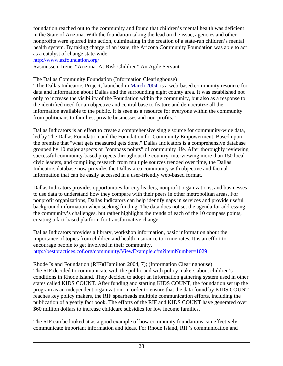foundation reached out to the community and found that children's mental health was deficient in the State of Arizona. With the foundation taking the lead on the issue, agencies and other nonprofits were spurred into action, culminating in the creation of a state-run children's mental health system. By taking charge of an issue, the Arizona Community Foundation was able to act as a catalyst of change state-wide.

http://www.azfoundation.org/

Rasmussen, Irene. "Arizona: At-Risk Children" An Agile Servant.

#### The Dallas Community Foundation (Information Clearinghouse)

"The Dallas Indicators Project, launched in March 2004, is a web-based community resource for data and information about Dallas and the surrounding eight county area. It was established not only to increase the visibility of the Foundation within the community, but also as a response to the identified need for an objective and central base to feature and democratize all the information available to the public. It is seen as a resource for everyone within the community from politicians to families, private businesses and non-profits."

Dallas Indicators is an effort to create a comprehensive single source for community-wide data, led by The Dallas Foundation and the Foundation for Community Empowerment. Based upon the premise that "what gets measured gets done," Dallas Indicators is a comprehensive database grouped by 10 major aspects or "compass points" of community life. After thoroughly reviewing successful community-based projects throughout the country, interviewing more than 150 local civic leaders, and compiling research from multiple sources trended over time, the Dallas Indicators database now provides the Dallas-area community with objective and factual information that can be easily accessed in a user-friendly web-based format.

Dallas Indicators provides opportunities for city leaders, nonprofit organizations, and businesses to use data to understand how they compare with their peers in other metropolitan areas. For nonprofit organizations, Dallas Indicators can help identify gaps in services and provide useful background information when seeking funding. The data does not set the agenda for addressing the community's challenges, but rather highlights the trends of each of the 10 compass points, creating a fact-based platform for transformative change.

Dallas Indicators provides a library, workshop information, basic information about the importance of topics from children and health insurance to crime rates. It is an effort to encourage people to get involved in their community. http://bestpractices.cof.org/community/ViewExample.cfm?itemNumber=1029

#### Rhode Island Foundation (RIF)(Hamilton 2004, 7); (Information Clearinghouse)

The RIF decided to communicate with the public and with policy makers about children's conditions in Rhode Island. They decided to adopt an information gathering system used in other states called KIDS COUNT. After funding and starting KIDS COUNT, the foundation set up the program as an independent organization. In order to ensure that the data found by KIDS COUNT reaches key policy makers, the RIF spearheads multiple communication efforts, including the publication of a yearly fact book. The efforts of the RIF and KIDS COUNT have generated over \$60 million dollars to increase childcare subsidies for low income families.

The RIF can be looked at as a good example of how community foundations can effectively communicate important information and ideas. For Rhode Island, RIF's communication and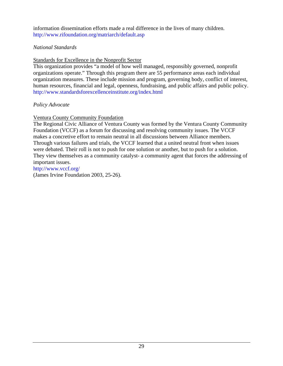information dissemination efforts made a real difference in the lives of many children. http://www.rifoundation.org/matriarch/default.asp

#### *National Standards*

Standards for Excellence in the Nonprofit Sector

This organization provides "a model of how well managed, responsibly governed, nonprofit organizations operate." Through this program there are 55 performance areas each individual organization measures. These include mission and program, governing body, conflict of interest, human resources, financial and legal, openness, fundraising, and public affairs and public policy. http://www.standardsforexcellenceinstitute.org/index.html

# *Policy Advocate*

# Ventura County Community Foundation

The Regional Civic Alliance of Ventura County was formed by the Ventura County Community Foundation (VCCF) as a forum for discussing and resolving community issues. The VCCF makes a concretive effort to remain neutral in all discussions between Alliance members. Through various failures and trials, the VCCF learned that a united neutral front when issues were debated. Their roll is not to push for one solution or another, but to push for a solution. They view themselves as a community catalyst- a community agent that forces the addressing of important issues.

http://www.vccf.org/ (James Irvine Foundation 2003, 25-26).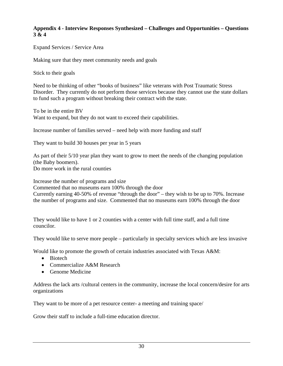#### **Appendix 4 - Interview Responses Synthesized – Challenges and Opportunities – Questions 3 & 4**

Expand Services / Service Area

Making sure that they meet community needs and goals

Stick to their goals

Need to be thinking of other "books of business" like veterans with Post Traumatic Stress Disorder. They currently do not perform those services because they cannot use the state dollars to fund such a program without breaking their contract with the state.

To be in the entire BV Want to expand, but they do not want to exceed their capabilities.

Increase number of families served – need help with more funding and staff

They want to build 30 houses per year in 5 years

As part of their 5/10 year plan they want to grow to meet the needs of the changing population (the Baby boomers).

Do more work in the rural counties

Increase the number of programs and size Commented that no museums earn 100% through the door Currently earning 40-50% of revenue "through the door" – they wish to be up to 70%. Increase the number of programs and size. Commented that no museums earn 100% through the door

They would like to have 1 or 2 counties with a center with full time staff, and a full time councilor.

They would like to serve more people – particularly in specialty services which are less invasive

Would like to promote the growth of certain industries associated with Texas A&M:

- Biotech
- Commercialize A&M Research
- Genome Medicine

Address the lack arts /cultural centers in the community, increase the local concern/desire for arts organizations

They want to be more of a pet resource center- a meeting and training space/

Grow their staff to include a full-time education director.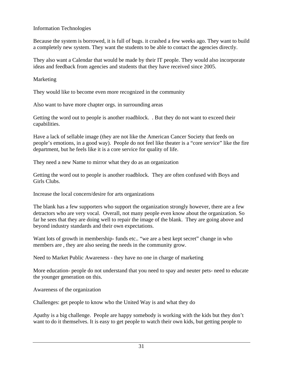#### Information Technologies

Because the system is borrowed, it is full of bugs. it crashed a few weeks ago. They want to build a completely new system. They want the students to be able to contact the agencies directly.

They also want a Calendar that would be made by their IT people. They would also incorporate ideas and feedback from agencies and students that they have received since 2005.

#### Marketing

They would like to become even more recognized in the community

Also want to have more chapter orgs. in surrounding areas

Getting the word out to people is another roadblock. . But they do not want to exceed their capabilities.

Have a lack of sellable image (they are not like the American Cancer Society that feeds on people's emotions, in a good way). People do not feel like theater is a "core service" like the fire department, but he feels like it is a core service for quality of life.

They need a new Name to mirror what they do as an organization

Getting the word out to people is another roadblock. They are often confused with Boys and Girls Clubs.

Increase the local concern/desire for arts organizations

The blank has a few supporters who support the organization strongly however, there are a few detractors who are very vocal. Overall, not many people even know about the organization. So far he sees that they are doing well to repair the image of the blank. They are going above and beyond industry standards and their own expectations.

Want lots of growth in membership- funds etc.. "we are a best kept secret" change in who members are , they are also seeing the needs in the community grow.

Need to Market Public Awareness - they have no one in charge of marketing

More education- people do not understand that you need to spay and neuter pets- need to educate the younger generation on this.

Awareness of the organization

Challenges: get people to know who the United Way is and what they do

Apathy is a big challenge. People are happy somebody is working with the kids but they don't want to do it themselves. It is easy to get people to watch their own kids, but getting people to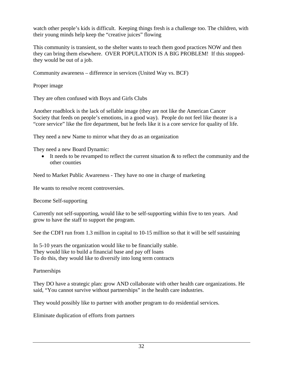watch other people's kids is difficult. Keeping things fresh is a challenge too. The children, with their young minds help keep the "creative juices" flowing

This community is transient, so the shelter wants to teach them good practices NOW and then they can bring them elsewhere. OVER POPULATION IS A BIG PROBLEM! If this stoppedthey would be out of a job.

Community awareness – difference in services (United Way vs. BCF)

Proper image

They are often confused with Boys and Girls Clubs

Another roadblock is the lack of sellable image (they are not like the American Cancer Society that feeds on people's emotions, in a good way). People do not feel like theater is a "core service" like the fire department, but he feels like it is a core service for quality of life.

They need a new Name to mirror what they do as an organization

They need a new Board Dynamic:

• It needs to be revamped to reflect the current situation  $\&$  to reflect the community and the other counties

Need to Market Public Awareness - They have no one in charge of marketing

He wants to resolve recent controversies.

Become Self-supporting

Currently not self-supporting, would like to be self-supporting within five to ten years. And grow to have the staff to support the program.

See the CDFI run from 1.3 million in capital to 10-15 million so that it will be self sustaining

In 5-10 years the organization would like to be financially stable. They would like to build a financial base and pay off loans To do this, they would like to diversify into long term contracts

Partnerships

They DO have a strategic plan: grow AND collaborate with other health care organizations. He said, "You cannot survive without partnerships" in the health care industries.

They would possibly like to partner with another program to do residential services.

Eliminate duplication of efforts from partners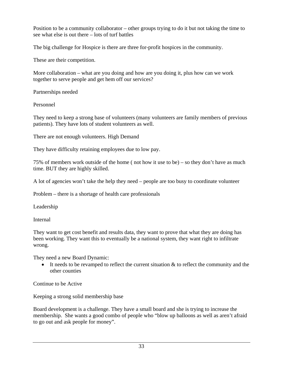Position to be a community collaborator – other groups trying to do it but not taking the time to see what else is out there – lots of turf battles

The big challenge for Hospice is there are three for-profit hospices in the community.

These are their competition.

More collaboration – what are you doing and how are you doing it, plus how can we work together to serve people and get hem off our services?

Partnerships needed

Personnel

They need to keep a strong base of volunteers (many volunteers are family members of previous patients). They have lots of student volunteers as well.

There are not enough volunteers. High Demand

They have difficulty retaining employees due to low pay.

75% of members work outside of the home ( not how it use to be) – so they don't have as much time. BUT they are highly skilled.

A lot of agencies won't take the help they need – people are too busy to coordinate volunteer

Problem – there is a shortage of health care professionals

Leadership

Internal

They want to get cost benefit and results data, they want to prove that what they are doing has been working. They want this to eventually be a national system, they want right to infiltrate wrong.

They need a new Board Dynamic:

• It needs to be revamped to reflect the current situation & to reflect the community and the other counties

Continue to be Active

Keeping a strong solid membership base

Board development is a challenge. They have a small board and she is trying to increase the membership. She wants a good combo of people who "blow up balloons as well as aren't afraid to go out and ask people for money".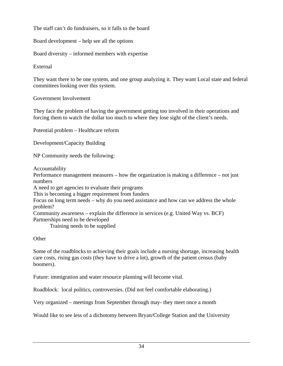The staff can't do fundraisers, so it falls to the board

Board development – help see all the options

Board diversity – informed members with expertise

External

They want there to be one system, and one group analyzing it. They want Local state and federal committees looking over this system.

Government Involvement

They face the problem of having the government getting too involved in their operations and forcing them to watch the dollar too much to where they lose sight of the client's needs.

Potential problem – Healthcare reform

Development/Capacity Building

NP Community needs the following:

Accountability

Performance management measures – how the organization is making a difference – not just numbers

A need to get agencies to evaluate their programs

This is becoming a bigger requirement from funders

Focus on long term needs – why do you need assistance and how can we address the whole problem?

Community awareness – explain the difference in services (e.g. United Way vs. BCF) Partnerships need to be developed

Training needs to be supplied

**Other** 

Some of the roadblocks to achieving their goals include a nursing shortage, increasing health care costs, rising gas costs (they have to drive a lot), growth of the patient census (baby boomers).

Future: immigration and water resource planning will become vital.

Roadblock: local politics, controversies. (Did not feel comfortable elaborating.)

Very organized – meetings from September through may- they meet once a month

Would like to see less of a dichotomy between Bryan/College Station and the University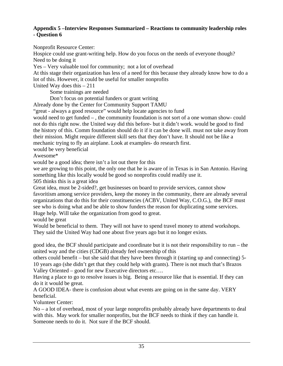#### **Appendix 5 –Interview Responses Summarized – Reactions to community leadership roles - Question 6**

Nonprofit Resource Center:

Hospice could use grant-writing help. How do you focus on the needs of everyone though? Need to be doing it

Yes – Very valuable tool for community; not a lot of overhead

At this stage their organization has less of a need for this because they already know how to do a lot of this. However, it could be useful for smaller nonprofits

United Way does this – 211

Some trainings are needed

Don't focus on potential funders or grant writing

Already done by the Center for Community Support TAMU

"great - always a good resource" would help locate agencies to fund

would need to get funded – , the community foundation is not sort of a one woman show- could not do this right now. the United way did this before- but it didn't work. would be good to find the history of this. Comm foundation should do it if it can be done will. must not take away from their mission. Might require different skill sets that they don't have. It should not be like a mechanic trying to fly an airplane. Look at examples- do research first.

would be very beneficial

Awesome\*

would be a good idea; there isn't a lot out there for this

we are growing to this point, the only one that he is aware of in Texas is in San Antonio. Having something like this locally would be good so nonprofits could readily use it.

505 thinks this is a great idea

Great idea, must be 2-sided?, get businesses on board to provide services, cannot show favoritism among service providers, keep the money in the community, there are already several organizations that do this for their constituencies (ACBV, United Way, C.O.G.), the BCF must see who is doing what and be able to show funders the reason for duplicating some services. Huge help. Will take the organization from good to great.

would be great

Would be beneficial to them. They will not have to spend travel money to attend workshops. They said the United Way had one about five years ago but it no longer exists.

good idea, the BCF should participate and coordinate but it is not their responsibility to run – the united way and the cities (CDGB) already feel ownership of this

others could benefit – but she said that they have been through it (starting up and connecting) 5- 10 years ago (she didn't get that they could help with grants). There is not much that's Brazos Valley Oriented – good for new Executive directors etc….

Having a place to go to resolve issues is big. Being a resource like that is essential. If they can do it it would be great.

A GOOD IDEA- there is confusion about what events are going on in the same day. VERY beneficial.

Volunteer Center:

No – a lot of overhead, most of your large nonprofits probably already have departments to deal with this. May work for smaller nonprofits, but the BCF needs to think if they can handle it. Someone needs to do it. Not sure if the BCF should.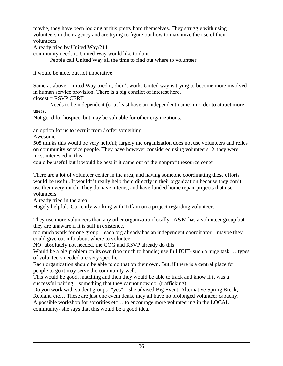maybe, they have been looking at this pretty hard themselves. They struggle with using volunteers in their agency and are trying to figure out how to maximize the use of their volunteers

Already tried by United Way/211

community needs it, United Way would like to do it

People call United Way all the time to find out where to volunteer

it would be nice, but not imperative

Same as above, United Way tried it, didn't work. United way is trying to become more involved in human service provision. There is a big conflict of interest here.  $closest = RSVP CERT$ 

 Needs to be independent (or at least have an independent name) in order to attract more users.

Not good for hospice, but may be valuable for other organizations.

an option for us to recruit from / offer something

Awesome

505 thinks this would be very helpful; largely the organization does not use volunteers and relies on community service people. They have however considered using volunteers  $\rightarrow$  they were most interested in this

could be useful but it would be best if it came out of the nonprofit resource center

There are a lot of volunteer center in the area, and having someone coordinating these efforts would be useful. It wouldn't really help them directly in their organization because they don't use them very much. They do have interns, and have funded home repair projects that use volunteers.

Already tried in the area

Hugely helpful. Currently working with Tiffani on a project regarding volunteers

They use more volunteers than any other organization locally. A&M has a volunteer group but they are unaware if it is still in existence.

too much work for one group – each org already has an independent coordinator – maybe they could give out info about where to volunteer

NO! absolutely not needed, the COG and RSVP already do this

Would be a big problem on its own (too much to handle) use full BUT- such a huge task … types of volunteers needed are very specific.

Each organization should be able to do that on their own. But, if there is a central place for people to go it may serve the community well.

This would be good. matching and then they would be able to track and know if it was a successful pairing – something that they cannot now do. (trafficking)

Do you work with student groups- "yes" – she advised Big Event, Alternative Spring Break, Replant, etc… These are just one event deals, they all have no prolonged volunteer capacity. A possible workshop for sororities etc… to encourage more volunteering in the LOCAL community- she says that this would be a good idea.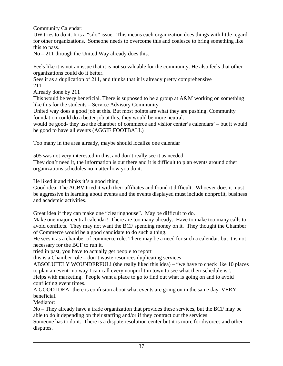Community Calendar:

UW tries to do it. It is a "silo" issue. This means each organization does things with little regard for other organizations. Someone needs to overcome this and coalesce to bring something like this to pass.

No – 211 through the United Way already does this.

Feels like it is not an issue that it is not so valuable for the community. He also feels that other organizations could do it better.

Sees it as a duplication of 211, and thinks that it is already pretty comprehensive 211

Already done by 211

This would be very beneficial. There is supposed to be a group at A&M working on something like this for the students – Service Advisory Community

United way does a good job at this. But most points are what they are pushing. Community foundation could do a better job at this, they would be more neutral.

would be good- they use the chamber of commerce and visitor center's calendars' – but it would be good to have all events (AGGIE FOOTBALL)

Too many in the area already, maybe should localize one calendar

505 was not very interested in this, and don't really see it as needed They don't need it, the information is out there and it is difficult to plan events around other organizations schedules no matter how you do it.

He liked it and thinks it's a good thing

Good idea. The ACBV tried it with their affiliates and found it difficult. Whoever does it must be aggressive in learning about events and the events displayed must include nonprofit, business and academic activities.

Great idea if they can make one "clearinghouse". May be difficult to do.

Make one major central calendar! There are too many already. Have to make too many calls to avoid conflicts. They may not want the BCF spending money on it. They thought the Chamber of Commerce would be a good candidate to do such a thing.

He sees it as a chamber of commerce role. There may be a need for such a calendar, but it is not necessary for the BCF to run it.

tried in past, you have to actually get people to report

this is a Chamber role – don't waste resources duplicating services

ABSOLUTELY WOUNDERFUL! (she really liked this idea) – "we have to check like 10 places to plan an event- no way I can call every nonprofit in town to see what their schedule is".

Helps with marketing. People want a place to go to find out what is going on and to avoid conflicting event times.

A GOOD IDEA- there is confusion about what events are going on in the same day. VERY beneficial.

Mediator:

No – They already have a trade organization that provides these services, but the BCF may be able to do it depending on their staffing and/or if they contract out the services

Someone has to do it. There is a dispute resolution center but it is more for divorces and other disputes.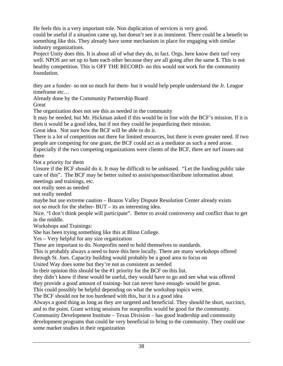He feels this is a very important role. Non duplication of services is very good.

could be useful if a situation came up, but doesn't see it as imminent. There could be a benefit to something like this. They already have some mechanism in place for engaging with similar industry organizations.

Project Unity does this. It is about all of what they do, in fact. Orgs. here know their turf very well. NPOS are set up to hate each other because they are all going after the same \$. This is not healthy competition. This is OFF THE RECORD- no this would not work for the community foundation.

they are a funder- so not so much for them- but it would help people understand the Jr. League timeframe etc…

Already done by the Community Partnership Board

Great

The organization does not see this as needed in the community

It may be needed, but Mr. Hickman asked if this would be in line with the BCF's mission. If it is then it would be a good idea, but if not they could be jeopardizing their mission.

Great idea. Not sure how the BCF will be able to do it.

There is a lot of competition out there for limited resources, but there is even greater need. If two people are competing for one grant, the BCF could act as a mediator as such a need arose.

Especially if the two competing organizations were clients of the BCF, there are turf issues out there

Not a priority for them

Unsure if the BCF should do it. It may be difficult to be unbiased. "Let the funding public take care of this". The BCF may be better suited to assist/sponsor/distribute information about meetings and trainings, etc.

not really seen as needed

not really needed

maybe but use extreme caution – Brazos Valley Dispute Resolution Center already exists not so much for the shelter- BUT – its an interesting idea.

Nice. "I don't think people will participate". Better to avoid controversy and conflict than to get in the middle.

Workshops and Trainings:

She has been trying something like this at Blinn College.

Yes – Very helpful for any size organization

These are important to do. Nonprofits need to hold themselves to standards.

This is probably always a need to have this here locally. There are many workshops offered through St. Joes. Capacity building would probably be a good area to focus on

United Way does some but they're not as consistent as needed

In their opinion this should be the #1 priority for the BCF on this list.

they didn't know if these would be useful, they would have to go and see what was offered

they provide a good amount of training- but can never have enough- would be great.

This could possibly be helpful depending on what the workshop topics were.

The BCF should not be too burdened with this, but it is a good idea

Always a good thing as long as they are targeted and beneficial. They should be short, succinct, and to the point. Grant writing sessions for nonprofits would be good for the community.

Community Development Institute – Texas Division – has good leadership and community development programs that could be very beneficial to bring to the community. They could use some market studies in their organization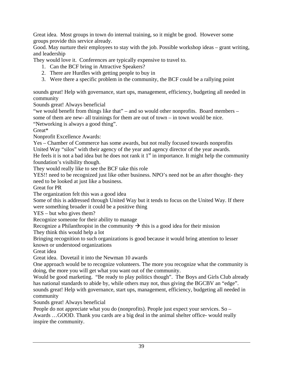Great idea. Most groups in town do internal training, so it might be good. However some groups provide this service already.

Good. May nurture their employees to stay with the job. Possible workshop ideas – grant writing, and leadership

They would love it. Conferences are typically expensive to travel to.

- 1. Can the BCF bring in Attractive Speakers?
- 2. There are Hurdles with getting people to buy in
- 3. Were there a specific problem in the community, the BCF could be a rallying point

sounds great! Help with governance, start ups, management, efficiency, budgeting all needed in community

Sounds great! Always beneficial

"we would benefit from things like that" – and so would other nonprofits. Board members – some of them are new- all trainings for them are out of town – in town would be nice.

"Networking is always a good thing".

Great\*

Nonprofit Excellence Awards:

Yes – Chamber of Commerce has some awards, but not really focused towards nonprofits United Way "silos" with their agency of the year and agency director of the year awards.

He feels it is not a bad idea but he does not rank it  $1<sup>st</sup>$  in importance. It might help the community foundation's visibility though.

They would really like to see the BCF take this role

YES!! need to be recognized just like other business. NPO's need not be an after thought- they need to be looked at just like a business.

Great for PR

The organization felt this was a good idea

Some of this is addressed through United Way but it tends to focus on the United Way. If there were something broader it could be a positive thing

YES – but who gives them?

Recognize someone for their ability to manage

Recognize a Philanthropist in the community  $\rightarrow$  this is a good idea for their mission

They think this would help a lot

Bringing recognition to such organizations is good because it would bring attention to lesser known or understood organizations

Great idea

Great idea. Dovetail it into the Newman 10 awards

One approach would be to recognize volunteers. The more you recognize what the community is doing, the more you will get what you want out of the community.

Would be good marketing. "Be ready to play politics though". The Boys and Girls Club already has national standards to abide by, while others may not, thus giving the BGCBV an "edge".

sounds great! Help with governance, start ups, management, efficiency, budgeting all needed in community

Sounds great! Always beneficial

People do not appreciate what you do (nonprofits). People just expect your services. So – Awards …GOOD. Thank you cards are a big deal in the animal shelter office- would really inspire the community.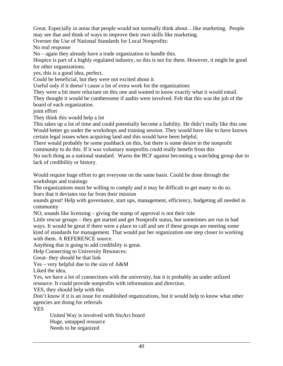Great. Especially in areas that people would not normally think about…like marketing. People may see that and think of ways to improve their own skills like marketing.

Oversee the Use of National Standards for Local Nonprofits:

No real response

No – again they already have a trade organization to handle this.

Hospice is part of a highly regulated industry, so this is not for them. However, it might be good for other organizations.

yes, this is a good idea, perfect.

Could be beneficial, but they were not excited about it.

Useful only if it doesn't cause a lot of extra work for the organizations

They were a bit more reluctant on this one and wanted to know exactly what it would entail.

They thought it would be cumbersome if audits were involved. Felt that this was the job of the board of each organization.

joint effort

They think this would help a lot

This takes up a lot of time and could potentially become a liability. He didn't really like this one Would better go under the workshops and training session. They would have like to have known certain legal issues when acquiring land and this would have been helpful.

There would probably be some pushback on this, but there is some desire in the nonprofit community to do this. If it was voluntary nonprofits could really benefit from this

No such thing as a national standard. Warns the BCF against becoming a watchdog group due to lack of credibility or history.

Would require huge effort to get everyone on the same basis. Could be done through the workshops and trainings

The organizations must be willing to comply and it may be difficult to get many to do so. fears that it deviates too far from their mission

sounds great! Help with governance, start ups, management, efficiency, budgeting all needed in community

NO, sounds like licensing – giving the stamp of approval is not their role

Little rescue groups – they get started and get Nonprofit status, but sometimes are run in bad ways. It would be great if there were a place to call and see if these groups are meeting some kind of standards for management. That would put her organization one step closer to working with them. A REFERENCE source.

Anything that is going to add credibility is great.

Help Connecting to University Resources:

Great- they should be that link

Yes – very helpful due to the size of A&M

Liked the idea,

Yes, we have a lot of connections with the university, but it is probably an under utilized resource. It could provide nonprofits with information and direction.

YES, they should help with this

Don't know if it is an issue for established organizations, but it would help to know what other agencies are doing for referrals

YES

 United Way is involved with StuAct board Huge, untapped resource Needs to be organized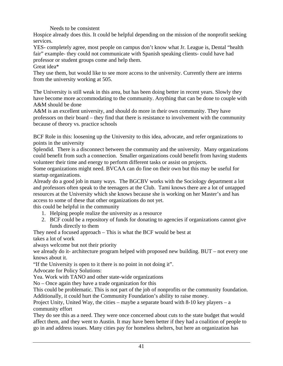Needs to be consistent

Hospice already does this. It could be helpful depending on the mission of the nonprofit seeking services.

YES- completely agree, most people on campus don't know what Jr. League is, Dental "health fair" example- they could not communicate with Spanish speaking clients- could have had professor or student groups come and help them.

Great idea\*

They use them, but would like to see more access to the university. Currently there are interns from the university working at 505.

The University is still weak in this area, but has been doing better in recent years. Slowly they have become more accommodating to the community. Anything that can be done to couple with A&M should be done

A&M is an excellent university, and should do more in their own community. They have professors on their board – they find that there is resistance to involvement with the community because of theory vs. practice schools

BCF Role in this: loosening up the University to this idea, advocate, and refer organizations to points in the university

Splendid. There is a disconnect between the community and the university. Many organizations could benefit from such a connection. Smaller organizations could benefit from having students volunteer their time and energy to perform different tasks or assist on projects.

Some organizations might need. BVCAA can do fine on their own but this may be useful for startup organizations.

Already do a good job in many ways. The BGCBV works with the Sociology department a lot and professors often speak to the teenagers at the Club. Tami knows there are a lot of untapped resources at the University which she knows because she is working on her Master's and has access to some of these that other organizations do not yet.

this could be helpful in the community

- 1. Helping people realize the university as a resource
- 2. BCF could be a repository of funds for donating to agencies if organizations cannot give funds directly to them

They need a focused approach – This is what the BCF would be best at takes a lot of work

always welcome but not their priority

we already do it- architecture program helped with proposed new building. BUT – not every one knows about it.

"If the University is open to it there is no point in not doing it".

Advocate for Policy Solutions:

Yea. Work with TANO and other state-wide organizations

No – Once again they have a trade organization for this

This could be problematic. This is not part of the job of nonprofits or the community foundation. Additionally, it could hurt the Community Foundation's ability to raise money.

Project Unity, United Way, the cities – maybe a separate board with  $8-10$  key players – a community effort

They do see this as a need. They were once concerned about cuts to the state budget that would affect them, and they went to Austin. It may have been better if they had a coalition of people to go in and address issues. Many cities pay for homeless shelters, but here an organization has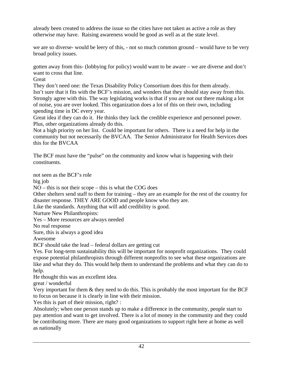already been created to address the issue so the cities have not taken as active a role as they otherwise may have. Raising awareness would be good as well as at the state level.

we are so diverse- would be leery of this, - not so much common ground – would have to be very broad policy issues.

gotten away from this- (lobbying for policy) would want to be aware – we are diverse and don't want to cross that line.

**Great** 

They don't need one: the Texas Disability Policy Consortium does this for them already. Isn't sure that it fits with the BCF's mission, and wonders that they should stay away from this. Strongly agree with this. The way legislating works is that if you are not out there making a lot of noise, you are over looked. This organization does a lot of this on their own, including spending time in DC every year.

Great idea if they can do it. He thinks they lack the credible experience and personnel power. Plus, other organizations already do this.

Not a high priority on her list. Could be important for others. There is a need for help in the community but not necessarily the BVCAA. The Senior Administrator for Health Services does this for the BVCAA

The BCF must have the "pulse" on the community and know what is happening with their constituents.

not seen as the BCF's role

big job

NO – this is not their scope – this is what the COG does

Other shelters send staff to them for training – they are an example for the rest of the country for disaster response. THEY ARE GOOD and people know who they are.

Like the standards. Anything that will add credibility is good.

Nurture New Philanthropists:

Yes – More resources are always needed

No real response

Sure, this is always a good idea

Awesome

BCF should take the lead – federal dollars are getting cut

Yes. For long-term sustainability this will be important for nonprofit organizations. They could expose potential philanthropists through different nonprofits to see what these organizations are like and what they do. This would help them to understand the problems and what they can do to help.

He thought this was an excellent idea.

great / wonderful

Very important for them & they need to do this. This is probably the most important for the BCF to focus on because it is clearly in line with their mission.

Yes this is part of their mission, right? :

Absolutely; when one person stands up to make a difference in the community, people start to pay attention and want to get involved. There is a lot of money in the community and they could be contributing more. There are many good organizations to support right here at home as well as nationally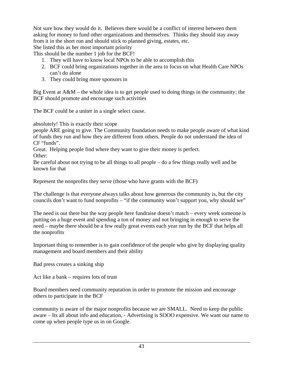Not sure how they would do it. Believes there would be a conflict of interest between them asking for money to fund other organizations and themselves. Thinks they should stay away from it in the short run and should stick to planned giving, estates, etc.

She listed this as her most important priority

This should be the number 1 job for the BCF!

- 1. They will have to know local NPOs to be able to accomplish this
- 2. BCF could bring organizations together in the area to focus on what Health Care NPOs can't do alone
- 3. They could bring more sponsors in

Big Event at A&M – the whole idea is to get people used to doing things in the community; the BCF should promote and encourage such activities

The BCF could be a uniter in a single select cause.

absolutely! This is exactly their scope

people ARE going to give. The Community foundation needs to make people aware of what kind of funds they run and how they are different from others. People do not understand the idea of CF "funds".

Great. Helping people find where they want to give their money is perfect.

Other:

Be careful about not trying to be all things to all people – do a few things really well and be known for that

Represent the nonprofits they serve (those who have grants with the BCF)

The challenge is that everyone always talks about how generous the community is, but the city councils don't want to fund nonprofits – "if the community won't support you, why should we"

The need is out there but the way people here fundraise doesn't match – every week someone is putting on a huge event and spending a ton of money and not bringing in enough to serve the need – maybe there should be a few really great events each year run by the BCF that helps all the nonprofits

Important thing to remember is to gain confidence of the people who give by displaying quality management and board members and their ability

Bad press creates a sinking ship

Act like a bank – requires lots of trust

Board members need community reputation in order to promote the mission and encourage others to participate in the BCF

community is aware of the major nonprofits because we are SMALL. Need to keep the public aware – Its all about info and education, - Advertising is SOOO expensive. We want our name to come up when people type us in on Google.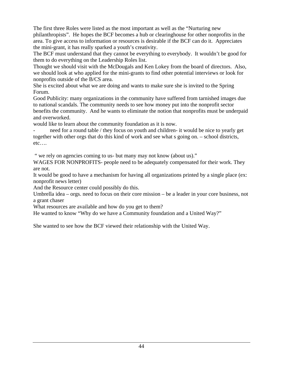The first three Roles were listed as the most important as well as the "Nurturing new philanthropists". He hopes the BCF becomes a hub or clearinghouse for other nonprofits in the area. To give access to information or resources is desirable if the BCF can do it. Appreciates the mini-grant, it has really sparked a youth's creativity.

The BCF must understand that they cannot be everything to everybody. It wouldn't be good for them to do everything on the Leadership Roles list.

Thought we should visit with the McDougals and Ken Lokey from the board of directors. Also, we should look at who applied for the mini-grants to find other potential interviews or look for nonprofits outside of the B/CS area.

She is excited about what we are doing and wants to make sure she is invited to the Spring Forum.

Good Publicity: many organizations in the community have suffered from tarnished images due to national scandals. The community needs to see how money put into the nonprofit sector benefits the community. And he wants to eliminate the notion that nonprofits must be underpaid and overworked.

would like to learn about the community foundation as it is now.

- need for a round table / they focus on youth and children- it would be nice to yearly get together with other orgs that do this kind of work and see what s going on. – school districts, etc….

" we rely on agencies coming to us- but many may not know (about us)."

WAGES FOR NONPROFITS- people need to be adequately compensated for their work. They are not.

It would be good to have a mechanism for having all organizations printed by a single place (ex: nonprofit news letter)

And the Resource center could possibly do this.

Umbrella idea – orgs. need to focus on their core mission – be a leader in your core business, not a grant chaser

What resources are available and how do you get to them?

He wanted to know "Why do we have a Community foundation and a United Way?"

She wanted to see how the BCF viewed their relationship with the United Way.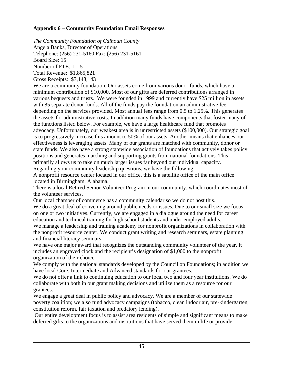## **Appendix 6 – Community Foundation Email Responses**

*The Community Foundation of Calhoun County*  Angela Banks, Director of Operations Telephone: (256) 231-5160 Fax: (256) 231-5161 Board Size: 15 Number of FTE:  $1 - 5$ Total Revenue: \$1,865,821

Gross Receipts: \$7,148,143

We are a community foundation. Our assets come from various donor funds, which have a minimum contribution of \$10,000. Most of our gifts are deferred contributions arranged in various bequests and trusts. We were founded in 1999 and currently have \$25 million in assets with 85 separate donor funds. All of the funds pay the foundation an administrative fee depending on the services provided. Most annual fees range from 0.5 to 1.25%. This generates the assets for administrative costs. In addition many funds have components that foster many of the functions listed below. For example, we have a large healthcare fund that promotes advocacy. Unfortunately, our weakest area is in unrestricted assets (\$100,000). Our strategic goal is to progressively increase this amount to 50% of our assets. Another means that enhances our effectiveness is leveraging assets. Many of our grants are matched with community, donor or state funds. We also have a strong statewide association of foundations that actively takes policy positions and generates matching and supporting grants from national foundations. This primarily allows us to take on much larger issues far beyond our individual capacity. Regarding your community leadership questions, we have the following:

A nonprofit resource center located in our office, this is a satellite office of the main office located in Birmingham, Alabama.

There is a local Retired Senior Volunteer Program in our community, which coordinates most of the volunteer services.

Our local chamber of commerce has a community calendar so we do not host this.

We do a great deal of convening around public needs or issues. Due to our small size we focus on one or two initiatives. Currently, we are engaged in a dialogue around the need for career education and technical training for high school students and under employed adults.

We manage a leadership and training academy for nonprofit organizations in collaboration with the nonprofit resource center. We conduct grant writing and research seminars, estate planning and financial literacy seminars.

We have one major award that recognizes the outstanding community volunteer of the year. It includes an engraved clock and the recipient's designation of \$1,000 to the nonprofit organization of their choice.

We comply with the national standards developed by the Council on Foundations; in addition we have local Core, Intermediate and Advanced standards for our grantees.

We do not offer a link to continuing education to our local two and four year institutions. We do collaborate with both in our grant making decisions and utilize them as a resource for our grantees.

We engage a great deal in public policy and advocacy. We are a member of our statewide poverty coalition; we also fund advocacy campaigns (tobacco, clean indoor air, pre-kindergarten, constitution reform, fair taxation and predatory lending).

 Our entire development focus is to assist area residents of simple and significant means to make deferred gifts to the organizations and institutions that have served them in life or provide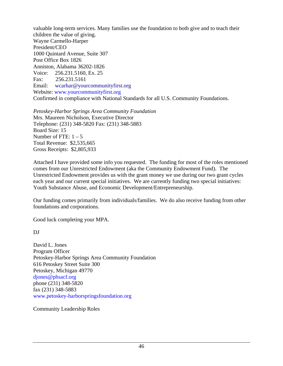valuable long-term services. Many families use the foundation to both give and to teach their children the value of giving. Wayne Carmello-Harper President/CEO 1000 Quintard Avenue, Suite 307 Post Office Box 1826 Anniston, Alabama 36202-1826 Voice: 256.231.5160, Ex. 25 Fax: 256.231.5161 Email: wcarhar@yourcommunityfirst.org Website: www.yourcommunityfirst.org Confirmed in compliance with National Standards for all U.S. Community Foundations.

*Petoskey-Harbor Springs Area Community Foundation*  Mrs. Maureen Nicholson, Executive Director Telephone: (231) 348-5820 Fax: (231) 348-5883 Board Size: 15 Number of FTE:  $1 - 5$ Total Revenue: \$2,535,665 Gross Receipts: \$2,805,933

Attached I have provided some info you requested. The funding for most of the roles mentioned comes from our Unrestricted Endowment (aka the Community Endowment Fund). The Unrestricted Endowment provides us with the grant money we use during our two grant cycles each year and our current special initiatives. We are currently funding two special initiatives: Youth Substance Abuse, and Economic Development/Entrepreneurship.

Our funding comes primarily from individuals/families. We do also receive funding from other foundations and corporations.

Good luck completing your MPA.

DJ

David L. Jones Program Officer Petoskey-Harbor Springs Area Community Foundation 616 Petoskey Street Suite 300 Petoskey, Michigan 49770 djones@phsacf.org phone (231) 348-5820 fax (231) 348-5883 www.petoskey-harborspringsfoundation.org

Community Leadership Roles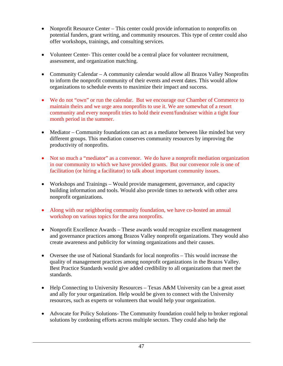- Nonprofit Resource Center This center could provide information to nonprofits on potential funders, grant writing, and community resources. This type of center could also offer workshops, trainings, and consulting services.
- Volunteer Center-This center could be a central place for volunteer recruitment, assessment, and organization matching.
- Community Calendar A community calendar would allow all Brazos Valley Nonprofits to inform the nonprofit community of their events and event dates. This would allow organizations to schedule events to maximize their impact and success.
- We do not "own" or run the calendar. But we encourage our Chamber of Commerce to maintain theirs and we urge area nonprofits to use it. We are somewhat of a resort community and every nonprofit tries to hold their event/fundraiser within a tight four month period in the summer.
- Mediator Community foundations can act as a mediator between like minded but very different groups. This mediation conserves community resources by improving the productivity of nonprofits.
- Not so much a "mediator" as a convenor. We do have a nonprofit mediation organization in our community to which we have provided grants. But our convenor role is one of facilitation (or hiring a facilitator) to talk about important community issues.
- Workshops and Trainings Would provide management, governance, and capacity building information and tools. Would also provide times to network with other area nonprofit organizations.
- Along with our neighboring community foundation, we have co-hosted an annual workshop on various topics for the area nonprofits.
- Nonprofit Excellence Awards These awards would recognize excellent management and governance practices among Brazos Valley nonprofit organizations. They would also create awareness and publicity for winning organizations and their causes.
- Oversee the use of National Standards for local nonprofits This would increase the quality of management practices among nonprofit organizations in the Brazos Valley. Best Practice Standards would give added credibility to all organizations that meet the standards.
- Help Connecting to University Resources Texas A&M University can be a great asset and ally for your organization. Help would be given to connect with the University resources, such as experts or volunteers that would help your organization.
- Advocate for Policy Solutions- The Community foundation could help to broker regional solutions by cordoning efforts across multiple sectors. They could also help the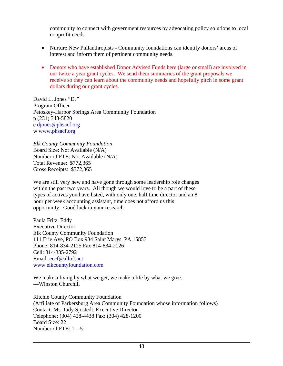community to connect with government resources by advocating policy solutions to local nonprofit needs.

- Nurture New Philanthropists Community foundations can identify donors' areas of interest and inform them of pertinent community needs.
- Donors who have established Donor Advised Funds here (large or small) are involved in our twice a year grant cycles. We send them summaries of the grant proposals we receive so they can learn about the community needs and hopefully pitch in some grant dollars during our grant cycles.

David L. Jones "DJ" Program Officer Petoskey-Harbor Springs Area Community Foundation p (231) 348-5820 e djones@phsacf.org w www.phsacf.org

*Elk County Community Foundation*  Board Size: Not Available (N/A) Number of FTE: Not Available (N/A) Total Revenue: \$772,365 Gross Receipts: \$772,365

We are still very new and have gone through some leadership role changes within the past two years. All though we would love to be a part of these types of actives you have listed, with only one, half time director and an 8 hour per week accounting assistant, time does not afford us this opportunity. Good luck in your research.

Paula Fritz Eddy Executive Director Elk County Community Foundation 111 Erie Ave, PO Box 934 Saint Marys, PA 15857 Phone: 814-834-2125 Fax 814-834-2126 Cell: 814-335-2792 Email: eccf@alltel.net www.elkcountyfoundation.com

We make a living by what we get, we make a life by what we give. ---Winston Churchill

Ritchie County Community Foundation (Affiliate of Parkersburg Area Community Foundation whose information follows) Contact: Ms. Judy Sjostedt, Executive Director Telephone: (304) 428-4438 Fax: (304) 428-1200 Board Size: 22 Number of FTE:  $1 - 5$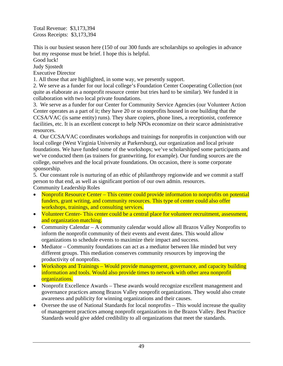Total Revenue: \$3,173,394 Gross Receipts: \$3,173,394

This is our busiest season here (150 of our 300 funds are scholarships so apologies in advance but my response must be brief. I hope this is helpful.

Good luck!

Judy Sjostedt

Executive Director

1. All those that are highlighted, in some way, we presently support.

2. We serve as a funder for our local college's Foundation Center Cooperating Collection (not quite as elaborate as a nonprofit resource center but tries hard to be similar). We funded it in collaboration with two local private foundations.

3. We serve as a funder for our Center for Community Service Agencies (our Volunteer Action Center operates as a part of it; they have 20 or so nonprofits housed in one building that the CCSA/VAC (is same entity) runs). They share copiers, phone lines, a receptionist, conference facilities, etc. It is an excellent concept to help NPOs economize on their scarce administrative resources.

4. Our CCSA/VAC coordinates workshops and trainings for nonprofits in conjunction with our local college (West Virginia University at Parkersburg), our organization and local private foundations. We have funded some of the workshops; we've scholarshiped some participants and we've conducted them (as trainers for grantwriting, for example). Our funding sources are the college, ourselves and the local private foundations. On occasion, there is some corporate sponsorship.

5. Our constant role is nurturing of an ethic of philanthropy regionwide and we commit a staff person to that end, as well as significant portion of our own admin. resources. Community Leadership Roles

- Nonprofit Resource Center This center could provide information to nonprofits on potential funders, grant writing, and community resources. This type of center could also offer workshops, trainings, and consulting services.
- Volunteer Center-This center could be a central place for volunteer recruitment, assessment, and organization matching.
- Community Calendar A community calendar would allow all Brazos Valley Nonprofits to inform the nonprofit community of their events and event dates. This would allow organizations to schedule events to maximize their impact and success.
- Mediator Community foundations can act as a mediator between like minded but very different groups. This mediation conserves community resources by improving the productivity of nonprofits.
- Workshops and Trainings Would provide management, governance, and capacity building information and tools. Would also provide times to network with other area nonprofit organizations.
- Nonprofit Excellence Awards These awards would recognize excellent management and governance practices among Brazos Valley nonprofit organizations. They would also create awareness and publicity for winning organizations and their causes.
- Oversee the use of National Standards for local nonprofits This would increase the quality of management practices among nonprofit organizations in the Brazos Valley. Best Practice Standards would give added credibility to all organizations that meet the standards.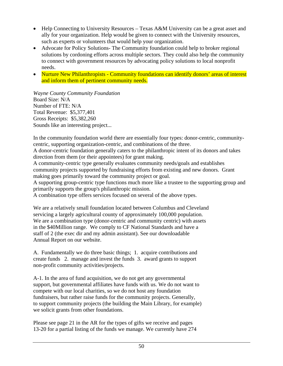- Help Connecting to University Resources Texas A&M University can be a great asset and ally for your organization. Help would be given to connect with the University resources, such as experts or volunteers that would help your organization.
- Advocate for Policy Solutions- The Community foundation could help to broker regional solutions by cordoning efforts across multiple sectors. They could also help the community to connect with government resources by advocating policy solutions to local nonprofit needs.
- Nurture New Philanthropists Community foundations can identify donors' areas of interest and inform them of pertinent community needs.

*Wayne County Community Foundation*  Board Size: N/A Number of FTE: N/A Total Revenue: \$5,377,401 Gross Receipts: \$5,382,260 Sounds like an interesting project...

In the community foundation world there are essentially four types: donor-centric, communitycentric, supporting organization-centric, and combinations of the three.

A donor-centric foundation generally caters to the philanthropic intent of its donors and takes direction from them (or their appointees) for grant making.

A community-centric type generally evaluates community needs/goals and establishes community projects supported by fundraising efforts from existing and new donors. Grant making goes primarily toward the community project or goal.

A supporting group-centric type functions much more like a trustee to the supporting group and primarily supports the group's philanthropic mission.

A combination type offers services focused on several of the above types.

We are a relatively small foundation located between Columbus and Cleveland servicing a largely agricultural county of approximately 100,000 population. We are a combination type (donor-centric and community centric) with assets in the \$40Million range. We comply to CF National Standards and have a staff of 2 (the exec dir and my admin assistant). See our downloadable Annual Report on our website.

A. Fundamentally we do three basic things; 1. acquire contributions and create funds 2. manage and invest the funds 3. award grants to support non-profit community activities/projects.

A-1. In the area of fund acquisition, we do not get any governmental support, but governmental affiliates have funds with us. We do not want to compete with our local charities, so we do not host any foundation fundraisers, but rather raise funds for the community projects. Generally, to support community projects (the building the Main Library, for example) we solicit grants from other foundations.

Please see page 21 in the AR for the types of gifts we receive and pages 13-20 for a partial listing of the funds we manage. We currently have 274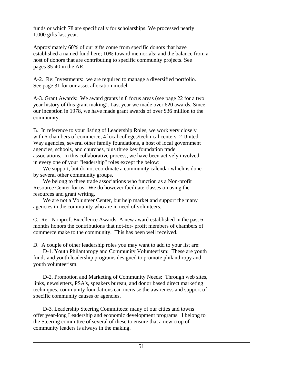funds or which 78 are specifically for scholarships. We processed nearly 1,000 gifts last year.

Approximately 60% of our gifts come from specific donors that have established a named fund here; 10% toward memorials; and the balance from a host of donors that are contributing to specific community projects. See pages 35-40 in the AR.

A-2. Re: Investments: we are required to manage a diversified portfolio. See page 31 for our asset allocation model.

A-3. Grant Awards: We award grants in 8 focus areas (see page 22 for a two year history of this grant making). Last year we made over 620 awards. Since our inception in 1978, we have made grant awards of over \$36 million to the community.

B. In reference to your listing of Leadership Roles, we work very closely with 6 chambers of commerce, 4 local colleges/technical centers, 2 United Way agencies, several other family foundations, a host of local government agencies, schools, and churches, plus three key foundation trade associations. In this collaborative process, we have been actively involved in every one of your "leadership" roles except the below:

 We support, but do not coordinate a community calendar which is done by several other community groups.

 We belong to three trade associations who function as a Non-profit Resource Center for us. We do however facilitate classes on using the resources and grant writing.

 We are not a Volunteer Center, but help market and support the many agencies in the community who are in need of volunteers.

C. Re: Nonproft Excellence Awards: A new award established in the past 6 months honors the contributions that not-for- profit members of chambers of commerce make to the community. This has been well received.

D. A couple of other leadership roles you may want to add to your list are:

 D-1. Youth Philanthropy and Community Volunteerism: These are youth funds and youth leadership programs designed to promote philanthropy and youth volunteerism.

 D-2. Promotion and Marketing of Community Needs: Through web sites, links, newsletters, PSA's, speakers bureau, and donor based direct marketing techniques, community foundations can increase the awareness and support of specific community causes or agencies.

 D-3. Leadership Steering Committees: many of our cities and towns offer year-long Leadership and economic development programs. I belong to the Steering committee of several of these to ensure that a new crop of community leaders is always in the making.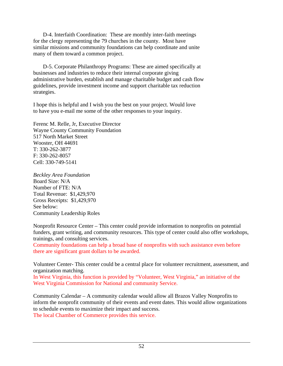D-4. Interfaith Coordination: These are monthly inter-faith meetings for the clergy representing the 79 churches in the county. Most have similar missions and community foundations can help coordinate and unite many of them toward a common project.

 D-5. Corporate Philanthropy Programs: These are aimed specifically at businesses and industries to reduce their internal corporate giving administrative burden, establish and manage charitable budget and cash flow guidelines, provide investment income and support charitable tax reduction strategies.

I hope this is helpful and I wish you the best on your project. Would love to have you e-mail me some of the other responses to your inquiry.

Ferenc M. Relle, Jr, Executive Director Wayne County Community Foundation 517 North Market Street Wooster, OH 44691 T: 330-262-3877 F: 330-262-8057 Cell: 330-749-5141

*Beckley Area Foundation*  Board Size: N/A Number of FTE: N/A Total Revenue: \$1,429,970 Gross Receipts: \$1,429,970 See below: Community Leadership Roles

Nonprofit Resource Center – This center could provide information to nonprofits on potential funders, grant writing, and community resources. This type of center could also offer workshops, trainings, and consulting services.

Community foundations can help a broad base of nonprofits with such assistance even before there are significant grant dollars to be awarded.

Volunteer Center- This center could be a central place for volunteer recruitment, assessment, and organization matching.

In West Virginia, this function is provided by "Volunteer, West Virginia," an initiative of the West Virginia Commission for National and community Service.

Community Calendar – A community calendar would allow all Brazos Valley Nonprofits to inform the nonprofit community of their events and event dates. This would allow organizations to schedule events to maximize their impact and success.

The local Chamber of Commerce provides this service.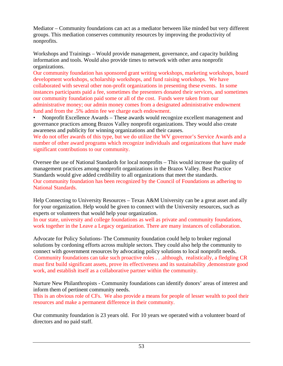Mediator – Community foundations can act as a mediator between like minded but very different groups. This mediation conserves community resources by improving the productivity of nonprofits.

Workshops and Trainings – Would provide management, governance, and capacity building information and tools. Would also provide times to network with other area nonprofit organizations.

Our community foundation has sponsored grant writing workshops, marketing workshops, board development workshops, scholarship workshops, and fund raising workshops. We have collaborated with several other non-profit organizations in presenting these events. In some instances participants paid a fee, sometimes the presenters donated their services, and sometimes our community foundation paid some or all of the cost. Funds were taken from our administrative money; our admin money comes from a designated administrative endowment fund and from the .5% admin fee we charge each endowment.

• Nonprofit Excellence Awards – These awards would recognize excellent management and governance practices among Brazos Valley nonprofit organizations. They would also create awareness and publicity for winning organizations and their causes.

We do not offer awards of this type, but we do utilize the WV governor's Service Awards and a number of other award programs which recognize individuals and organizations that have made significant contributions to our community.

Oversee the use of National Standards for local nonprofits – This would increase the quality of management practices among nonprofit organizations in the Brazos Valley. Best Practice Standards would give added credibility to all organizations that meet the standards. Our community foundation has been recognized by the Council of Foundations as adhering to National Standards.

Help Connecting to University Resources – Texas A&M University can be a great asset and ally for your organization. Help would be given to connect with the University resources, such as experts or volunteers that would help your organization.

In our state, university and college foundations as well as private and community foundations, work together in the Leave a Legacy organization. There are many instances of collaboration.

Advocate for Policy Solutions- The Community foundation could help to broker regional solutions by cordoning efforts across multiple sectors. They could also help the community to connect with government resources by advocating policy solutions to local nonprofit needs. Community foundations can take such proactive roles . . .although, realistically, a fledgling CR must first build significant assets, prove its effectiveness and its sustainability ,demonstrate good work, and establish itself as a collaborative partner within the community.

Nurture New Philanthropists - Community foundations can identify donors' areas of interest and inform them of pertinent community needs.

This is an obvious role of CFs. We also provide a means for people of lesser wealth to pool their resources and make a permanent difference in their community.

Our community foundation is 23 years old. For 10 years we operated with a volunteer board of directors and no paid staff.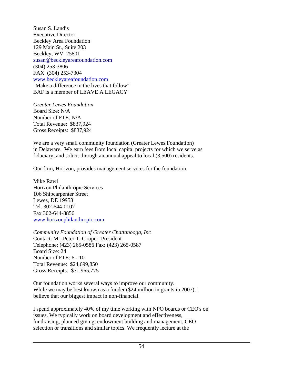Susan S. Landis Executive Director Beckley Area Foundation 129 Main St., Suite 203 Beckley, WV 25801 susan@beckleyareafoundation.com (304) 253-3806 FAX (304) 253-7304 www.beckleyareafoundation.com "Make a difference in the lives that follow" BAF is a member of LEAVE A LEGACY

*Greater Lewes Foundation*  Board Size: N/A Number of FTE: N/A Total Revenue: \$837,924 Gross Receipts: \$837,924

We are a very small community foundation (Greater Lewes Foundation) in Delaware. We earn fees from local capital projects for which we serve as fiduciary, and solicit through an annual appeal to local (3,500) residents.

Our firm, Horizon, provides management services for the foundation.

Mike Rawl Horizon Philanthropic Services 106 Shipcarpenter Street Lewes, DE 19958 Tel. 302-644-0107 Fax 302-644-8856 www.horizonphilanthropic.com

*Community Foundation of Greater Chattanooga, Inc*  Contact: Mr. Peter T. Cooper, President Telephone: (423) 265-0586 Fax: (423) 265-0587 Board Size: 24 Number of FTE: 6 - 10 Total Revenue: \$24,699,850 Gross Receipts: \$71,965,775

Our foundation works several ways to improve our community. While we may be best known as a funder (\$24 million in grants in 2007), I believe that our biggest impact in non-financial.

I spend approximately 40% of my time working with NPO boards or CEO's on issues. We typically work on board development and effectiveness, fundraising, planned giving, endowment building and management, CEO selection or transitions and similar topics. We frequently lecture at the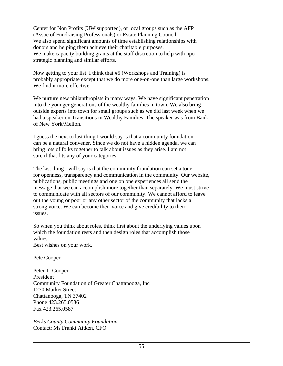Center for Non Profits (UW supported), or local groups such as the AFP (Assoc of Fundraising Professionals) or Estate Planning Council. We also spend significant amounts of time establishing relationships with donors and helping them achieve their charitable purposes. We make capacity building grants at the staff discretion to help with npo strategic planning and similar efforts.

Now getting to your list. I think that #5 (Workshops and Training) is probably appropriate except that we do more one-on-one than large workshops. We find it more effective.

We nurture new philanthropists in many ways. We have significant penetration into the younger generations of the wealthy families in town. We also bring outside experts into town for small groups such as we did last week when we had a speaker on Transitions in Wealthy Families. The speaker was from Bank of New York/Mellon.

I guess the next to last thing I would say is that a community foundation can be a natural convener. Since we do not have a hidden agenda, we can bring lots of folks together to talk about issues as they arise. I am not sure if that fits any of your categories.

The last thing I will say is that the community foundation can set a tone for openness, transparency and communication in the community. Our website, publications, public meetings and one on one experiences all send the message that we can accomplish more together than separately. We must strive to communicate with all sectors of our community. We cannot afford to leave out the young or poor or any other sector of the community that lacks a strong voice. We can become their voice and give credibility to their issues.

So when you think about roles, think first about the underlying values upon which the foundation rests and then design roles that accomplish those values.

Best wishes on your work.

Pete Cooper

Peter T. Cooper President Community Foundation of Greater Chattanooga, Inc 1270 Market Street Chattanooga, TN 37402 Phone 423.265.0586 Fax 423.265.0587

*Berks County Community Foundation*  Contact: Ms Franki Aitken, CFO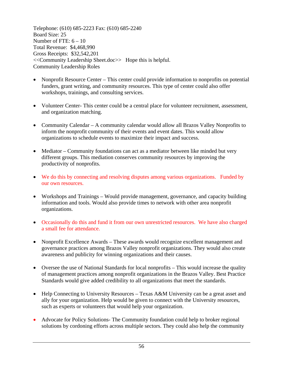Telephone: (610) 685-2223 Fax: (610) 685-2240 Board Size: 25 Number of FTE:  $6 - 10$ Total Revenue: \$4,468,990 Gross Receipts: \$32,542,201 <<Community Leadership Sheet.doc>> Hope this is helpful. Community Leadership Roles

- Nonprofit Resource Center This center could provide information to nonprofits on potential funders, grant writing, and community resources. This type of center could also offer workshops, trainings, and consulting services.
- Volunteer Center- This center could be a central place for volunteer recruitment, assessment, and organization matching.
- Community Calendar A community calendar would allow all Brazos Valley Nonprofits to inform the nonprofit community of their events and event dates. This would allow organizations to schedule events to maximize their impact and success.
- Mediator Community foundations can act as a mediator between like minded but very different groups. This mediation conserves community resources by improving the productivity of nonprofits.
- We do this by connecting and resolving disputes among various organizations. Funded by our own resources.
- Workshops and Trainings Would provide management, governance, and capacity building information and tools. Would also provide times to network with other area nonprofit organizations.
- Occasionally do this and fund it from our own unrestricted resources. We have also charged a small fee for attendance.
- Nonprofit Excellence Awards These awards would recognize excellent management and governance practices among Brazos Valley nonprofit organizations. They would also create awareness and publicity for winning organizations and their causes.
- Oversee the use of National Standards for local nonprofits This would increase the quality of management practices among nonprofit organizations in the Brazos Valley. Best Practice Standards would give added credibility to all organizations that meet the standards.
- Help Connecting to University Resources Texas A&M University can be a great asset and ally for your organization. Help would be given to connect with the University resources, such as experts or volunteers that would help your organization.
- Advocate for Policy Solutions- The Community foundation could help to broker regional solutions by cordoning efforts across multiple sectors. They could also help the community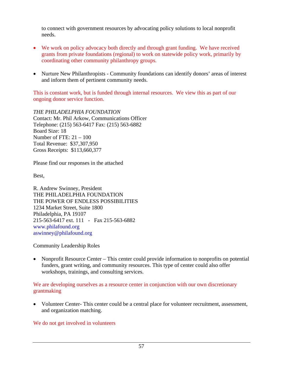to connect with government resources by advocating policy solutions to local nonprofit needs.

- We work on policy advocacy both directly and through grant funding. We have received grants from private foundations (regional) to work on statewide policy work, primarily by coordinating other community philanthropy groups.
- Nurture New Philanthropists Community foundations can identify donors' areas of interest and inform them of pertinent community needs.

This is constant work, but is funded through internal resources. We view this as part of our ongoing donor service function.

*THE PHILADELPHIA FOUNDATION*  Contact: Mr. Phil Arkow, Communications Officer Telephone: (215) 563-6417 Fax: (215) 563-6882 Board Size: 18 Number of FTE:  $21 - 100$ Total Revenue: \$37,307,950 Gross Receipts: \$113,660,377

Please find our responses in the attached

Best,

R. Andrew Swinney, President THE PHILADELPHIA FOUNDATION THE POWER OF ENDLESS POSSIBILITIES 1234 Market Street, Suite 1800 Philadelphia, PA 19107 215-563-6417 ext. 111 - Fax 215-563-6882 www.philafound.org aswinney@philafound.org

Community Leadership Roles

• Nonprofit Resource Center – This center could provide information to nonprofits on potential funders, grant writing, and community resources. This type of center could also offer workshops, trainings, and consulting services.

We are developing ourselves as a resource center in conjunction with our own discretionary grantmaking

• Volunteer Center- This center could be a central place for volunteer recruitment, assessment, and organization matching.

We do not get involved in volunteers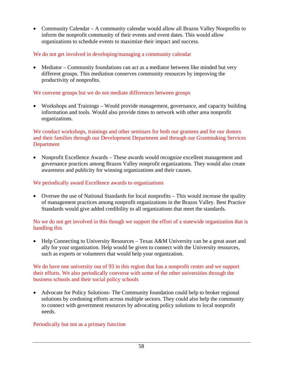• Community Calendar – A community calendar would allow all Brazos Valley Nonprofits to inform the nonprofit community of their events and event dates. This would allow organizations to schedule events to maximize their impact and success.

## We do not get involved in developing/managing a community calendar

• Mediator – Community foundations can act as a mediator between like minded but very different groups. This mediation conserves community resources by improving the productivity of nonprofits.

## We convene groups but we do not mediate differences between groups

• Workshops and Trainings – Would provide management, governance, and capacity building information and tools. Would also provide times to network with other area nonprofit organizations.

We conduct workshops, trainings and other seminars for both our grantees and for our donors and their families through our Development Department and through our Grantmaking Services Department

• Nonprofit Excellence Awards – These awards would recognize excellent management and governance practices among Brazos Valley nonprofit organizations. They would also create awareness and publicity for winning organizations and their causes.

#### We periodically award Excellence awards to organizations

• Oversee the use of National Standards for local nonprofits – This would increase the quality of management practices among nonprofit organizations in the Brazos Valley. Best Practice Standards would give added credibility to all organizations that meet the standards.

No we do not get involved in this though we support the effort of a statewide organization that is handling this

• Help Connecting to University Resources – Texas A&M University can be a great asset and ally for your organization. Help would be given to connect with the University resources, such as experts or volunteers that would help your organization.

#### We do have one university out of 93 in this region that has a nonprofit center and we support their efforts. We also periodically converse with some of the other universities through the business schools and their social policy schools

• Advocate for Policy Solutions- The Community foundation could help to broker regional solutions by cordoning efforts across multiple sectors. They could also help the community to connect with government resources by advocating policy solutions to local nonprofit needs.

#### Periodically but not as a primary function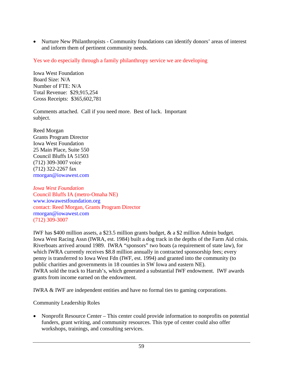• Nurture New Philanthropists - Community foundations can identify donors' areas of interest and inform them of pertinent community needs.

Yes we do especially through a family philanthropy service we are developing

Iowa West Foundation Board Size: N/A Number of FTE: N/A Total Revenue: \$29,915,254 Gross Receipts: \$365,602,781

Comments attached. Call if you need more. Best of luck. Important subject.

Reed Morgan Grants Program Director Iowa West Foundation 25 Main Place, Suite 550 Council Bluffs IA 51503 (712) 309-3007 voice (712) 322-2267 fax rmorgan@iowawest.com

*Iowa West Foundation*  Council Bluffs IA (metro-Omaha NE) www.iowawestfoundation.org contact: Reed Morgan, Grants Program Director rmorgan@iowawest.com (712) 309-3007

IWF has \$400 million assets, a \$23.5 million grants budget, & a \$2 million Admin budget. Iowa West Racing Assn (IWRA, est. 1984) built a dog track in the depths of the Farm Aid crisis. Riverboats arrived around 1989. IWRA "sponsors" two boats (a requirement of state law), for which IWRA currently receives \$8.8 million annually in contracted sponsorship fees; every penny is transferred to Iowa West Fdn (IWF, est. 1994) and granted into the community (to public charities and governments in 18 counties in SW Iowa and eastern NE). IWRA sold the track to Harrah's, which generated a substantial IWF endowment. IWF awards grants from income earned on the endowment.

IWRA & IWF are independent entities and have no formal ties to gaming corporations.

Community Leadership Roles

• Nonprofit Resource Center – This center could provide information to nonprofits on potential funders, grant writing, and community resources. This type of center could also offer workshops, trainings, and consulting services.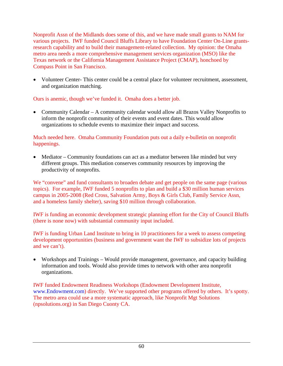Nonprofit Assn of the Midlands does some of this, and we have made small grants to NAM for various projects. IWF funded Council Bluffs Library to have Foundation Center On-Line grantsresearch capability and to build their management-related collection. My opinion: the Omaha metro area needs a more comprehensive management services organization (MSO) like the Texas network or the California Management Assistance Project (CMAP), honchoed by Compass Point in San Francisco.

• Volunteer Center- This center could be a central place for volunteer recruitment, assessment, and organization matching.

Ours is anemic, though we've funded it. Omaha does a better job.

• Community Calendar – A community calendar would allow all Brazos Valley Nonprofits to inform the nonprofit community of their events and event dates. This would allow organizations to schedule events to maximize their impact and success.

# Much needed here. Omaha Community Foundation puts out a daily e-bulletin on nonprofit happenings.

• Mediator – Community foundations can act as a mediator between like minded but very different groups. This mediation conserves community resources by improving the productivity of nonprofits.

We "convene" and fund consultants to broaden debate and get people on the same page (various topics). For example, IWF funded 5 nonprofits to plan and build a \$30 million human services campus in 2005-2008 (Red Cross, Salvation Army, Boys & Girls Club, Family Service Assn, and a homeless family shelter), saving \$10 million through collaboration.

IWF is funding an economic development strategic planning effort for the City of Council Bluffs (there is none now) with substantial community input included.

IWF is funding Urban Land Institute to bring in 10 practitioners for a week to assess competing development opportunities (business and government want the IWF to subsidize lots of projects and we can't).

• Workshops and Trainings – Would provide management, governance, and capacity building information and tools. Would also provide times to network with other area nonprofit organizations.

IWF funded Endowment Readiness Workshops (Endowment Development Institute, www.Endowment.com) directly. We've supported other programs offered by others. It's spotty. The metro area could use a more systematic approach, like Nonprofit Mgt Solutions (npsolutions.org) in San Diego Cuonty CA.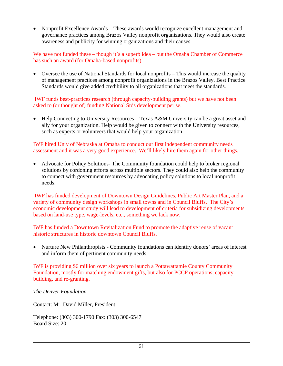• Nonprofit Excellence Awards – These awards would recognize excellent management and governance practices among Brazos Valley nonprofit organizations. They would also create awareness and publicity for winning organizations and their causes.

We have not funded these – though it's a superb idea – but the Omaha Chamber of Commerce has such an award (for Omaha-based nonprofits).

• Oversee the use of National Standards for local nonprofits – This would increase the quality of management practices among nonprofit organizations in the Brazos Valley. Best Practice Standards would give added credibility to all organizations that meet the standards.

 IWF funds best-practices research (through capacity-building grants) but we have not been asked to (or thought of) funding National Stds development per se.

• Help Connecting to University Resources – Texas A&M University can be a great asset and ally for your organization. Help would be given to connect with the University resources, such as experts or volunteers that would help your organization.

IWF hired Univ of Nebraska at Omaha to conduct our first independent community needs assessment and it was a very good experience. We'll likely hire them again for other things.

• Advocate for Policy Solutions- The Community foundation could help to broker regional solutions by cordoning efforts across multiple sectors. They could also help the community to connect with government resources by advocating policy solutions to local nonprofit needs.

 IWF has funded development of Downtown Design Guidelines, Public Art Master Plan, and a variety of community design workshops in small towns and in Council Bluffs. The City's economic development study will lead to development of criteria for subsidizing developments based on land-use type, wage-levels, etc., something we lack now.

IWF has funded a Downtown Revitalization Fund to promote the adaptive reuse of vacant historic structures in historic downtown Council Bluffs.

• Nurture New Philanthropists - Community foundations can identify donors' areas of interest and inform them of pertinent community needs.

IWF is providing \$6 million over six years to launch a Pottawattamie County Community Foundation, mostly for matching endowment gifts, but also for PCCF operations, capacity building, and re-granting.

*The Denver Foundation* 

Contact: Mr. David Miller, President

Telephone: (303) 300-1790 Fax: (303) 300-6547 Board Size: 20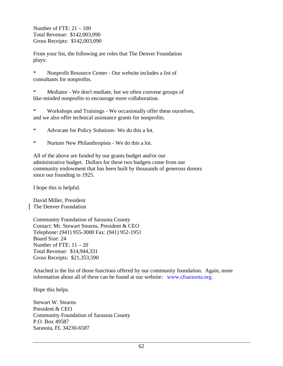Number of FTE: 21 – 100 Total Revenue: \$142,003,090 Gross Receipts: \$142,003,090

From your list, the following are roles that The Denver Foundation plays:

\* Nonprofit Resource Center - Our website includes a list of consultants for nonprofits.

\* Mediator - We don't mediate, but we often convene groups of like-minded nonprofits to encourage more collaboration.

\* Workshops and Trainings - We occasionally offer these ourselves, and we also offer technical assistance grants for nonprofits.

\* Advocate for Policy Solutions- We do this a lot.

\* Nurture New Philanthropists - We do this a lot.

All of the above are funded by our grants budget and/or our administrative budget. Dollars for these two budgets come from our community endowment that has been built by thousands of generous donors since our founding in 1925.

I hope this is helpful.

David Miller, President The Denver Foundation

Community Foundation of Sarasota County Contact: Mr. Stewart Stearns, President & CEO Telephone: (941) 955-3000 Fax: (941) 952-1951 Board Size: 24 Number of FTE:  $11 - 20$ Total Revenue: \$14,944,331 Gross Receipts: \$21,353,590

Attached is the list of those functions offered by our community foundation. Again, more information about all of these can be found at our website: www.cfsarasota.org.

Hope this helps.

Stewart W. Stearns President & CEO Community Foundation of Sarasota County P.O. Box 49587 Sarasota, FL 34230-6587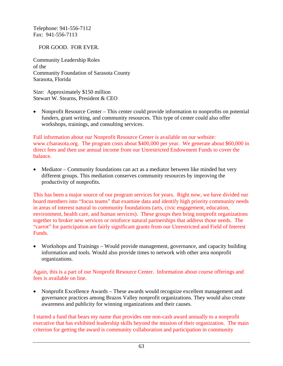Telephone: 941-556-7112 Fax: 941-556-7113

## FOR GOOD. FOR EVER.

Community Leadership Roles of the Community Foundation of Sarasota County Sarasota, Florida

Size: Approximately \$150 million Stewart W. Stearns, President & CEO

• Nonprofit Resource Center – This center could provide information to nonprofits on potential funders, grant writing, and community resources. This type of center could also offer workshops, trainings, and consulting services.

Full information about our Nonprofit Resource Center is available on our website: www.cfsarasota.org. The program costs about \$400,000 per year. We generate about \$60,000 in direct fees and then use annual income from our Unrestricted Endowment Funds to cover the balance.

• Mediator – Community foundations can act as a mediator between like minded but very different groups. This mediation conserves community resources by improving the productivity of nonprofits.

This has been a major source of our program services for years. Right now, we have divided our board members into "focus teams" that examine data and identify high priority community needs in areas of interest natural to community foundations (arts, civic engagement, education, environment, health care, and human services). These groups then bring nonprofit organizations together to broker new services or reinforce natural partnerships that address those needs. The "carrot" for participation are fairly significant grants from our Unrestricted and Field of Interest Funds.

• Workshops and Trainings – Would provide management, governance, and capacity building information and tools. Would also provide times to network with other area nonprofit organizations.

Again, this is a part of our Nonprofit Resource Center. Information about course offerings and fees is available on line.

• Nonprofit Excellence Awards – These awards would recognize excellent management and governance practices among Brazos Valley nonprofit organizations. They would also create awareness and publicity for winning organizations and their causes.

I started a fund that bears my name that provides one non-cash award annually to a nonprofit executive that has exhibited leadership skills beyond the mission of their organization. The main criterion for getting the award is community collaboration and participation in community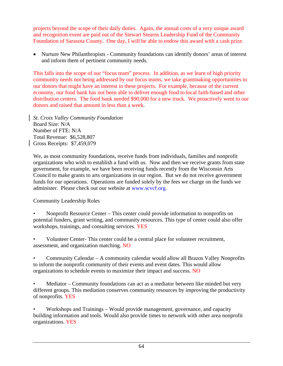projects beyond the scope of their daily duties. Again, the annual costs of a very unique award and recognition event are paid out of the Stewart Stearns Leadership Fund of the Community Foundation of Sarasota County. One day, I will be able to endow this award with a cash prize.

• Nurture New Philanthropists - Community foundations can identify donors' areas of interest and inform them of pertinent community needs.

This falls into the scope of our "focus team" process. In addition, as we learn of high priority community needs not being addressed by our focus teams, we take grantmaking opportunities to our donors that might have an interest in these projects. For example, because of the current economy, our food bank has not been able to deliver enough food to local faith-based and other distribution centers. The food bank needed \$90,000 for a new truck. We proactively went to our donors and raised that amount in less than a week.

*St. Croix Valley Community Foundation* Board Size: N/A Number of FTE: N/A Total Revenue: \$6,528,807 Gross Receipts: \$7,459,079

We, as most community foundations, receive funds from individuals, families and nonprofit organizations who wish to establish a fund with us. Now and then we receive grants from state government, for example, we have been receiving funds recently from the Wisconsin Arts Council to make grants to arts organizations in our region. But we do not receive government funds for our operations. Operations are funded solely by the fees we charge on the funds we administer. Please check out our website at www.scvcf.org.

Community Leadership Roles

- Nonprofit Resource Center This center could provide information to nonprofits on potential funders, grant writing, and community resources. This type of center could also offer workshops, trainings, and consulting services. YES
- Volunteer Center- This center could be a central place for volunteer recruitment, assessment, and organization matching. NO
- Community Calendar A community calendar would allow all Brazos Valley Nonprofits to inform the nonprofit community of their events and event dates. This would allow organizations to schedule events to maximize their impact and success. NO

• Mediator – Community foundations can act as a mediator between like minded but very different groups. This mediation conserves community resources by improving the productivity of nonprofits. YES

• Workshops and Trainings – Would provide management, governance, and capacity building information and tools. Would also provide times to network with other area nonprofit organizations. YES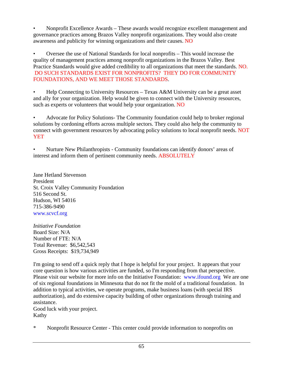• Nonprofit Excellence Awards – These awards would recognize excellent management and governance practices among Brazos Valley nonprofit organizations. They would also create awareness and publicity for winning organizations and their causes. NO

• Oversee the use of National Standards for local nonprofits – This would increase the quality of management practices among nonprofit organizations in the Brazos Valley. Best Practice Standards would give added credibility to all organizations that meet the standards. NO. DO SUCH STANDARDS EXIST FOR NONPROFITS? THEY DO FOR COMMUNITY FOUNDATIONS, AND WE MEET THOSE STANDARDS.

• Help Connecting to University Resources – Texas A&M University can be a great asset and ally for your organization. Help would be given to connect with the University resources, such as experts or volunteers that would help your organization. NO

• Advocate for Policy Solutions- The Community foundation could help to broker regional solutions by cordoning efforts across multiple sectors. They could also help the community to connect with government resources by advocating policy solutions to local nonprofit needs. NOT YET

• Nurture New Philanthropists - Community foundations can identify donors' areas of interest and inform them of pertinent community needs. ABSOLUTELY

Jane Hetland Stevenson President St. Croix Valley Community Foundation 516 Second St. Hudson, WI 54016 715-386-9490 www.scvcf.org

*Initiative Foundation*  Board Size: N/A Number of FTE: N/A Total Revenue: \$6,542,543 Gross Receipts: \$19,734,949

I'm going to send off a quick reply that I hope is helpful for your project. It appears that your core question is how various activities are funded, so I'm responding from that perspective. Please visit our website for more info on the Initiative Foundation: www.ifound.org We are one of six regional foundations in Minnesota that do not fit the mold of a traditional foundation. In addition to typical activities, we operate programs, make business loans (with special IRS authorization), and do extensive capacity building of other organizations through training and assistance.

Good luck with your project. Kathy

\* Nonprofit Resource Center - This center could provide information to nonprofits on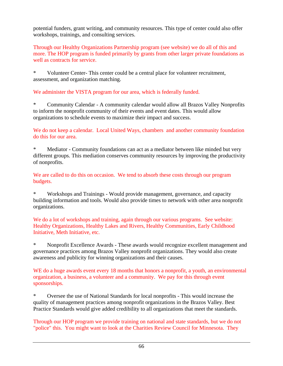potential funders, grant writing, and community resources. This type of center could also offer workshops, trainings, and consulting services.

Through our Healthy Organizations Partnership program (see website) we do all of this and more. The HOP program is funded primarily by grants from other larger private foundations as well as contracts for service.

\* Volunteer Center- This center could be a central place for volunteer recruitment, assessment, and organization matching.

We administer the VISTA program for our area, which is federally funded.

\* Community Calendar - A community calendar would allow all Brazos Valley Nonprofits to inform the nonprofit community of their events and event dates. This would allow organizations to schedule events to maximize their impact and success.

We do not keep a calendar. Local United Ways, chambers and another community foundation do this for our area.

Mediator - Community foundations can act as a mediator between like minded but very different groups. This mediation conserves community resources by improving the productivity of nonprofits.

We are called to do this on occasion. We tend to absorb these costs through our program budgets.

\* Workshops and Trainings - Would provide management, governance, and capacity building information and tools. Would also provide times to network with other area nonprofit organizations.

We do a lot of workshops and training, again through our various programs. See website: Healthy Organizations, Healthy Lakes and Rivers, Healthy Communities, Early Childhood Initiative, Meth Initiative, etc.

\* Nonprofit Excellence Awards - These awards would recognize excellent management and governance practices among Brazos Valley nonprofit organizations. They would also create awareness and publicity for winning organizations and their causes.

WE do a huge awards event every 18 months that honors a nonprofit, a youth, an environmental organization, a business, a volunteer and a community. We pay for this through event sponsorships.

\* Oversee the use of National Standards for local nonprofits - This would increase the quality of management practices among nonprofit organizations in the Brazos Valley. Best Practice Standards would give added credibility to all organizations that meet the standards.

Through our HOP program we provide training on national and state standards, but we do not "police" this. You might want to look at the Charities Review Council for Minnesota. They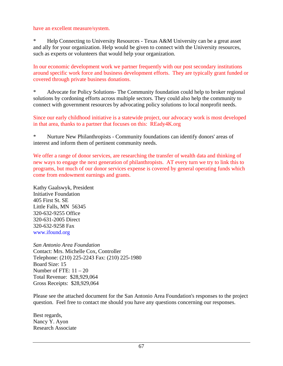have an excellent measure/system.

Help Connecting to University Resources - Texas A&M University can be a great asset and ally for your organization. Help would be given to connect with the University resources, such as experts or volunteers that would help your organization.

In our economic development work we partner frequently with our post secondary institutions around specific work force and business development efforts. They are typically grant funded or covered through private business donations.

\* Advocate for Policy Solutions- The Community foundation could help to broker regional solutions by cordoning efforts across multiple sectors. They could also help the community to connect with government resources by advocating policy solutions to local nonprofit needs.

Since our early childhood initiative is a statewide project, our advocacy work is most developed in that area, thanks to a partner that focuses on this: REady4K.org

\* Nurture New Philanthropists - Community foundations can identify donors' areas of interest and inform them of pertinent community needs.

We offer a range of donor services, are researching the transfer of wealth data and thinking of new ways to engage the next generation of philanthropists. AT every turn we try to link this to programs, but much of our donor services expense is covered by general operating funds which come from endowment earnings and grants.

Kathy Gaalswyk, President Initiative Foundation 405 First St. SE Little Falls, MN 56345 320-632-9255 Office 320-631-2005 Direct 320-632-9258 Fax www.ifound.org

*San Antonio Area Foundation*  Contact: Mrs. Michelle Cox, Controller Telephone: (210) 225-2243 Fax: (210) 225-1980 Board Size: 15 Number of FTE:  $11 - 20$ Total Revenue: \$28,929,064 Gross Receipts: \$28,929,064

Please see the attached document for the San Antonio Area Foundation's responses to the project question. Feel free to contact me should you have any questions concerning our responses.

Best regards, Nancy Y. Ayon Research Associate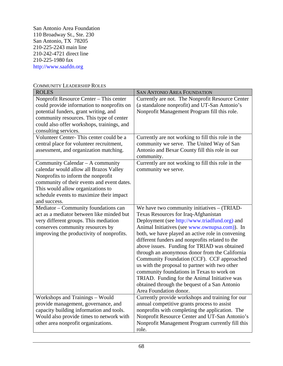San Antonio Area Foundation 110 Broadway St., Ste. 230 San Antonio, TX 78205 210-225-2243 main line 210-242-4721 direct line 210-225-1980 fax http://www.saafdn.org

| <b>ROLES</b>                                                                                                                                                                                                                                                    | <b>SAN ANTONIO AREA FOUNDATION</b>                                                                                                                                                                                                                                                                                                                                                                                                                                                                                                                                                                                                                                     |
|-----------------------------------------------------------------------------------------------------------------------------------------------------------------------------------------------------------------------------------------------------------------|------------------------------------------------------------------------------------------------------------------------------------------------------------------------------------------------------------------------------------------------------------------------------------------------------------------------------------------------------------------------------------------------------------------------------------------------------------------------------------------------------------------------------------------------------------------------------------------------------------------------------------------------------------------------|
| Nonprofit Resource Center – This center<br>could provide information to nonprofits on<br>potential funders, grant writing, and<br>community resources. This type of center<br>could also offer workshops, trainings, and<br>consulting services.                | Currently are not. The Nonprofit Resource Center<br>(a standalone nonprofit) and UT-San Antonio's<br>Nonprofit Management Program fill this role.                                                                                                                                                                                                                                                                                                                                                                                                                                                                                                                      |
| Volunteer Center-This center could be a<br>central place for volunteer recruitment,<br>assessment, and organization matching.                                                                                                                                   | Currently are not working to fill this role in the<br>community we serve. The United Way of San<br>Antonio and Bexar County fill this role in our<br>community.                                                                                                                                                                                                                                                                                                                                                                                                                                                                                                        |
| Community Calendar - A community<br>calendar would allow all Brazos Valley<br>Nonprofits to inform the nonprofit<br>community of their events and event dates.<br>This would allow organizations to<br>schedule events to maximize their impact<br>and success. | Currently are not working to fill this role in the<br>community we serve.                                                                                                                                                                                                                                                                                                                                                                                                                                                                                                                                                                                              |
| Mediator - Community foundations can<br>act as a mediator between like minded but<br>very different groups. This mediation<br>conserves community resources by<br>improving the productivity of nonprofits.                                                     | We have two community initiatives - (TRIAD-<br>Texas Resources for Iraq-Afghanistan<br>Deployment (see http://www.triadfund.org) and<br>Animal Initiatives (see www.ownupsa.com)). In<br>both, we have played an active role in convening<br>different funders and nonprofits related to the<br>above issues. Funding for TRIAD was obtained<br>through an anonymous donor from the California<br>Community Foundation (CCF). CCF approached<br>us with the proposal to partner with two other<br>community foundations in Texas to work on<br>TRIAD. Funding for the Animal Initiative was<br>obtained through the bequest of a San Antonio<br>Area Foundation donor. |
| Workshops and Trainings - Would<br>provide management, governance, and<br>capacity building information and tools.<br>Would also provide times to network with<br>other area nonprofit organizations.                                                           | Currently provide workshops and training for our<br>annual competitive grants process to assist<br>nonprofits with completing the application. The<br>Nonprofit Resource Center and UT-San Antonio's<br>Nonprofit Management Program currently fill this<br>role.                                                                                                                                                                                                                                                                                                                                                                                                      |

COMMUNITY LEADERSHIP ROLES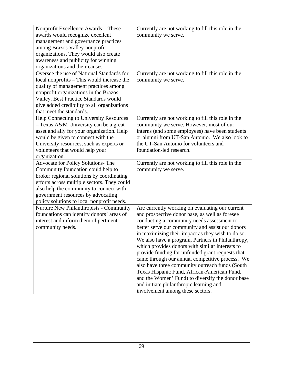| Nonprofit Excellence Awards - These         | Currently are not working to fill this role in the                          |
|---------------------------------------------|-----------------------------------------------------------------------------|
| awards would recognize excellent            | community we serve.                                                         |
|                                             |                                                                             |
| management and governance practices         |                                                                             |
| among Brazos Valley nonprofit               |                                                                             |
| organizations. They would also create       |                                                                             |
| awareness and publicity for winning         |                                                                             |
| organizations and their causes.             |                                                                             |
| Oversee the use of National Standards for   | Currently are not working to fill this role in the                          |
| local nonprofits - This would increase the  | community we serve.                                                         |
| quality of management practices among       |                                                                             |
| nonprofit organizations in the Brazos       |                                                                             |
| Valley. Best Practice Standards would       |                                                                             |
| give added credibility to all organizations |                                                                             |
| that meet the standards.                    |                                                                             |
| Help Connecting to University Resources     | Currently are not working to fill this role in the                          |
| - Texas A&M University can be a great       | community we serve. However, most of our                                    |
| asset and ally for your organization. Help  | interns (and some employees) have been students                             |
|                                             | or alumni from UT-San Antonio. We also look to                              |
| would be given to connect with the          |                                                                             |
| University resources, such as experts or    | the UT-San Antonio for volunteers and                                       |
| volunteers that would help your             | foundation-led research.                                                    |
| organization.                               |                                                                             |
| Advocate for Policy Solutions- The          | Currently are not working to fill this role in the                          |
| Community foundation could help to          | community we serve.                                                         |
| broker regional solutions by coordinating   |                                                                             |
| efforts across multiple sectors. They could |                                                                             |
| also help the community to connect with     |                                                                             |
| government resources by advocating          |                                                                             |
| policy solutions to local nonprofit needs.  |                                                                             |
| Nurture New Philanthropists - Community     |                                                                             |
|                                             |                                                                             |
|                                             | Are currently working on evaluating our current                             |
| foundations can identify donors' areas of   | and prospective donor base, as well as foresee                              |
| interest and inform them of pertinent       | conducting a community needs assessment to                                  |
| community needs.                            | better serve our community and assist our donors                            |
|                                             | in maximizing their impact as they wish to do so.                           |
|                                             | We also have a program, Partners in Philanthropy,                           |
|                                             | which provides donors with similar interests to                             |
|                                             | provide funding for unfunded grant requests that                            |
|                                             | came through our annual competitive process. We                             |
|                                             | also have three community outreach funds (South                             |
|                                             | Texas Hispanic Fund, African-American Fund,                                 |
|                                             | and the Women' Fund) to diversify the donor base                            |
|                                             | and initiate philanthropic learning and<br>involvement among these sectors. |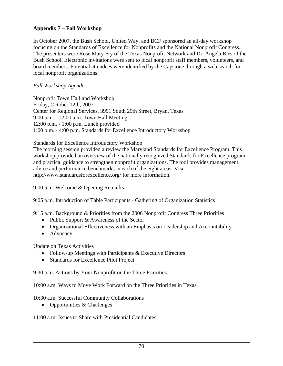# **Appendix 7 – Fall Workshop**

In October 2007, the Bush School, United Way, and BCF sponsored an all-day workshop focusing on the Standards of Excellence for Nonprofits and the National Nonprofit Congress. The presenters were Rose Mary Fry of the Texas Nonprofit Network and Dr. Angela Bies of the Bush School. Electronic invitations were sent to local nonprofit staff members, volunteers, and board members. Potential attendees were identified by the Capstone through a web search for local nonprofit organizations.

#### *Fall Workshop Agenda*

Nonprofit Town Hall and Workshop Friday, October 12th, 2007 Center for Regional Services, 3991 South 29th Street, Bryan, Texas 9:00 a.m. - 12:00 a.m. Town Hall Meeting 12:00 p.m. - 1:00 p.m. Lunch provided 1:00 p.m. - 4:00 p.m. Standards for Excellence Introductory Workshop

#### Standards for Excellence Introductory Workshop

The morning session provided a review the Maryland Standards for Excellence Program. This workshop provided an overview of the nationally recognized Standards for Excellence program and practical guidance to strengthen nonprofit organizations. The tool provides management advice and performance benchmarks in each of the eight areas. Visit http://www.standardsforexcellence.org/ for more information.

9:00 a.m. Welcome & Opening Remarks

9:05 a.m. Introduction of Table Participants - Gathering of Organization Statistics

9:15 a.m. Background & Priorities from the 2006 Nonprofit Congress Three Priorities

- Public Support & Awareness of the Sector
- Organizational Effectiveness with an Emphasis on Leadership and Accountability
- Advocacy

Update on Texas Activities

- Follow-up Meetings with Participants & Executive Directors
- Standards for Excellence Pilot Project

9:30 a.m. Actions by Your Nonprofit on the Three Priorities

10:00 a.m. Ways to Move Work Forward on the Three Priorities in Texas

10:30 a.m. Successful Community Collaborations

• Opportunities & Challenges

11:00 a.m. Issues to Share with Presidential Candidates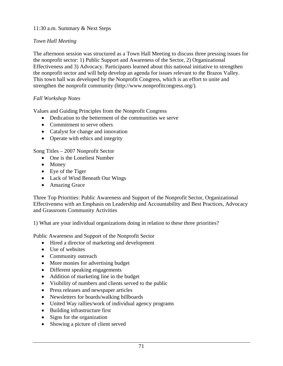## 11:30 a.m. Summary & Next Steps

## *Town Hall Meeting*

The afternoon session was structured as a Town Hall Meeting to discuss three pressing issues for the nonprofit sector: 1) Public Support and Awareness of the Sector, 2) Organizational Effectiveness and 3) Advocacy. Participants learned about this national initiative to strengthen the nonprofit sector and will help develop an agenda for issues relevant to the Brazos Valley. This town hall was developed by the Nonprofit Congress, which is an effort to unite and strengthen the nonprofit community (http://www.nonprofitcongress.org/).

#### *Fall Workshop Notes*

Values and Guiding Principles from the Nonprofit Congress

- Dedication to the betterment of the communities we serve
- Commitment to serve others
- Catalyst for change and innovation
- Operate with ethics and integrity

Song Titles – 2007 Nonprofit Sector

- One is the Loneliest Number
- Money
- Eye of the Tiger
- Lack of Wind Beneath Our Wings
- Amazing Grace

Three Top Priorities: Public Awareness and Support of the Nonprofit Sector, Organizational Effectiveness with an Emphasis on Leadership and Accountability and Best Practices, Advocacy and Grassroots Community Activities

1) What are your individual organizations doing in relation to these three priorities?

Public Awareness and Support of the Nonprofit Sector

- Hired a director of marketing and development
- Use of websites
- Community outreach
- More monies for advertising budget
- Different speaking engagements
- Addition of marketing line in the budget
- Visibility of numbers and clients served to the public
- Press releases and newspaper articles
- Newsletters for boards/walking billboards
- United Way rallies/work of individual agency programs
- Building infrastructure first
- Signs for the organization
- Showing a picture of client served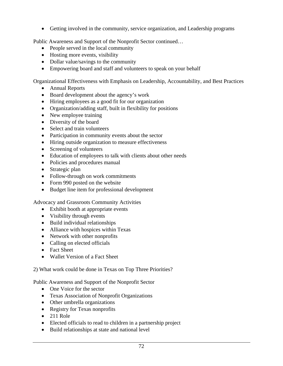• Getting involved in the community, service organization, and Leadership programs

Public Awareness and Support of the Nonprofit Sector continued…

- People served in the local community
- Hosting more events, visibility
- Dollar value/savings to the community
- Empowering board and staff and volunteers to speak on your behalf

Organizational Effectiveness with Emphasis on Leadership, Accountability, and Best Practices

- Annual Reports
- Board development about the agency's work
- Hiring employees as a good fit for our organization
- Organization/adding staff, built in flexibility for positions
- New employee training
- Diversity of the board
- Select and train volunteers
- Participation in community events about the sector
- Hiring outside organization to measure effectiveness
- Screening of volunteers
- Education of employees to talk with clients about other needs
- Policies and procedures manual
- Strategic plan
- Follow-through on work commitments
- Form 990 posted on the website
- Budget line item for professional development

Advocacy and Grassroots Community Activities

- Exhibit booth at appropriate events
- Visibility through events
- Build individual relationships
- Alliance with hospices within Texas
- Network with other nonprofits
- Calling on elected officials
- Fact Sheet
- Wallet Version of a Fact Sheet

2) What work could be done in Texas on Top Three Priorities?

Public Awareness and Support of the Nonprofit Sector

- One Voice for the sector
- Texas Association of Nonprofit Organizations
- Other umbrella organizations
- Registry for Texas nonprofits
- $\bullet$  211 Role
- Elected officials to read to children in a partnership project
- Build relationships at state and national level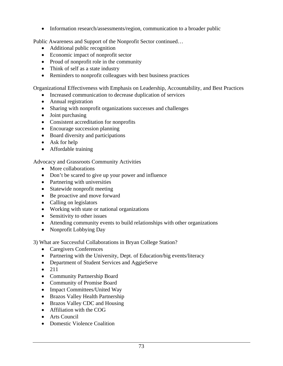• Information research/assessments/region, communication to a broader public

Public Awareness and Support of the Nonprofit Sector continued…

- Additional public recognition
- Economic impact of nonprofit sector
- Proud of nonprofit role in the community
- Think of self as a state industry
- Reminders to nonprofit colleagues with best business practices

Organizational Effectiveness with Emphasis on Leadership, Accountability, and Best Practices

- Increased communication to decrease duplication of services
- Annual registration
- Sharing with nonprofit organizations successes and challenges
- Joint purchasing
- Consistent accreditation for nonprofits
- Encourage succession planning
- Board diversity and participations
- Ask for help
- Affordable training

Advocacy and Grassroots Community Activities

- More collaborations
- Don't be scared to give up your power and influence
- Partnering with universities
- Statewide nonprofit meeting
- Be proactive and move forward
- Calling on legislators
- Working with state or national organizations
- Sensitivity to other issues
- Attending community events to build relationships with other organizations
- Nonprofit Lobbying Day

3) What are Successful Collaborations in Bryan College Station?

- Caregivers Conferences
- Partnering with the University, Dept. of Education/big events/literacy
- Department of Student Services and AggieServe
- 211
- Community Partnership Board
- Community of Promise Board
- Impact Committees/United Way
- Brazos Valley Health Partnership
- Brazos Valley CDC and Housing
- Affiliation with the COG
- Arts Council
- Domestic Violence Coalition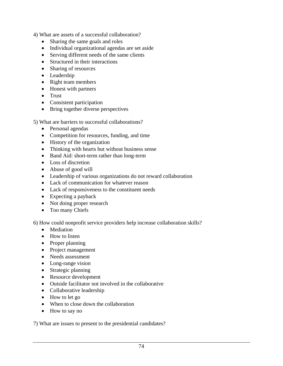4) What are assets of a successful collaboration?

- Sharing the same goals and roles
- Individual organizational agendas are set aside
- Serving different needs of the same clients
- Structured in their interactions
- Sharing of resources
- Leadership
- Right team members
- Honest with partners
- Trust
- Consistent participation
- Bring together diverse perspectives

5) What are barriers to successful collaborations?

- Personal agendas
- Competition for resources, funding, and time
- History of the organization
- Thinking with hearts but without business sense
- Band Aid: short-term rather than long-term
- Loss of discretion
- Abuse of good will
- Leadership of various organizations do not reward collaboration
- Lack of communication for whatever reason
- Lack of responsiveness to the constituent needs
- Expecting a payback
- Not doing proper research
- Too many Chiefs

6) How could nonprofit service providers help increase collaboration skills?

- Mediation
- How to listen
- Proper planning
- Project management
- Needs assessment
- Long-range vision
- Strategic planning
- Resource development
- Outside facilitator not involved in the collaborative
- Collaborative leadership
- How to let go
- When to close down the collaboration
- How to say no

7) What are issues to present to the presidential candidates?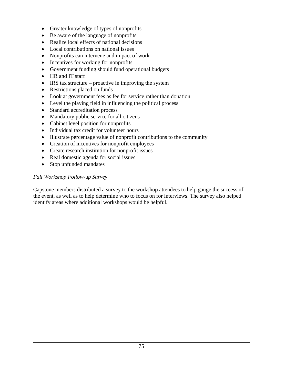- Greater knowledge of types of nonprofits
- Be aware of the language of nonprofits
- Realize local effects of national decisions
- Local contributions on national issues
- Nonprofits can intervene and impact of work
- Incentives for working for nonprofits
- Government funding should fund operational budgets
- HR and IT staff
- IRS tax structure proactive in improving the system
- Restrictions placed on funds
- Look at government fees as fee for service rather than donation
- Level the playing field in influencing the political process
- Standard accreditation process
- Mandatory public service for all citizens
- Cabinet level position for nonprofits
- Individual tax credit for volunteer hours
- Illustrate percentage value of nonprofit contributions to the community
- Creation of incentives for nonprofit employees
- Create research institution for nonprofit issues
- Real domestic agenda for social issues
- Stop unfunded mandates

### *Fall Workshop Follow-up Survey*

Capstone members distributed a survey to the workshop attendees to help gauge the success of the event, as well as to help determine who to focus on for interviews. The survey also helped identify areas where additional workshops would be helpful.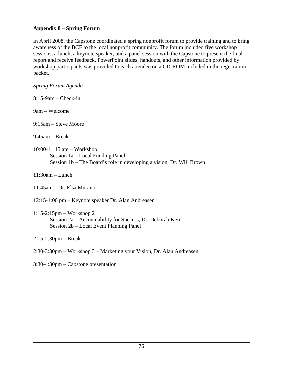### **Appendix 8 – Spring Forum**

In April 2008, the Capstone coordinated a spring nonprofit forum to provide training and to bring awareness of the BCF to the local nonprofit community. The forum included five workshop sessions, a lunch, a keynote speaker, and a panel session with the Capstone to present the final report and receive feedback. PowerPoint slides, handouts, and other information provided by workshop participants was provided to each attendee on a CD-ROM included in the registration packet.

*Spring Forum Agenda* 

8:15-9am – Check-in

9am – Welcome

9:15am – Steve Moore

9:45am – Break

- 10:00-11:15 am Workshop 1 Session 1a – Local Funding Panel Session 1b – The Board's role in developing a vision, Dr. Will Brown
- 11:30am Lunch
- 11:45am Dr. Elsa Murano

12:15-1:00 pm – Keynote speaker Dr. Alan Andreasen

- 1:15-2:15pm Workshop 2 Session 2a – Accountability for Success, Dr. Deborah Kerr Session 2b – Local Event Planning Panel
- 2:15-2:30pm Break
- 2:30-3:30pm Workshop 3 Marketing your Vision, Dr. Alan Andreasen
- 3:30-4:30pm Capstone presentation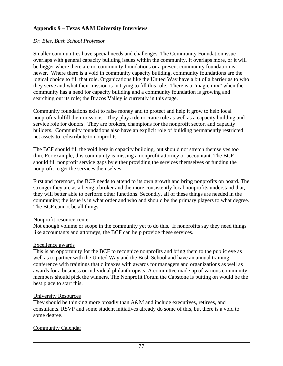### **Appendix 9 – Texas A&M University Interviews**

### *Dr. Bies, Bush School Professor*

Smaller communities have special needs and challenges. The Community Foundation issue overlaps with general capacity building issues within the community. It overlaps more, or it will be bigger where there are no community foundations or a present community foundation is newer. Where there is a void in community capacity building, community foundations are the logical choice to fill that role. Organizations like the United Way have a bit of a barrier as to who they serve and what their mission is in trying to fill this role. There is a "magic mix" when the community has a need for capacity building and a community foundation is growing and searching out its role; the Brazos Valley is currently in this stage.

Community foundations exist to raise money and to protect and help it grow to help local nonprofits fulfill their missions. They play a democratic role as well as a capacity building and service role for donors. They are brokers, champions for the nonprofit sector, and capacity builders. Community foundations also have an explicit role of building permanently restricted net assets to redistribute to nonprofits.

The BCF should fill the void here in capacity building, but should not stretch themselves too thin. For example, this community is missing a nonprofit attorney or accountant. The BCF should fill nonprofit service gaps by either providing the services themselves or funding the nonprofit to get the services themselves.

First and foremost, the BCF needs to attend to its own growth and bring nonprofits on board. The stronger they are as a being a broker and the more consistently local nonprofits understand that, they will better able to perform other functions. Secondly, all of these things are needed in the community; the issue is in what order and who and should be the primary players to what degree. The BCF cannot be all things.

### Nonprofit resource center

Not enough volume or scope in the community yet to do this. If nonprofits say they need things like accountants and attorneys, the BCF can help provide these services.

### Excellence awards

This is an opportunity for the BCF to recognize nonprofits and bring them to the public eye as well as to partner with the United Way and the Bush School and have an annual training conference with trainings that climaxes with awards for managers and organizations as well as awards for a business or individual philanthropists. A committee made up of various community members should pick the winners. The Nonprofit Forum the Capstone is putting on would be the best place to start this.

### University Resources

They should be thinking more broadly than A&M and include executives, retirees, and consultants. RSVP and some student initiatives already do some of this, but there is a void to some degree.

### Community Calendar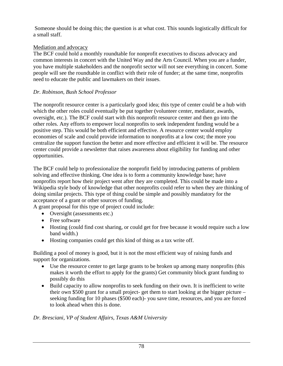Someone should be doing this; the question is at what cost. This sounds logistically difficult for a small staff.

### Mediation and advocacy

The BCF could hold a monthly roundtable for nonprofit executives to discuss advocacy and common interests in concert with the United Way and the Arts Council. When you are a funder, you have multiple stakeholders and the nonprofit sector will not see everything in concert. Some people will see the roundtable in conflict with their role of funder; at the same time, nonprofits need to educate the public and lawmakers on their issues.

# *Dr. Robinson, Bush School Professor*

The nonprofit resource center is a particularly good idea; this type of center could be a hub with which the other roles could eventually be put together (volunteer center, mediator, awards, oversight, etc.). The BCF could start with this nonprofit resource center and then go into the other roles. Any efforts to empower local nonprofits to seek independent funding would be a positive step. This would be both efficient and effective. A resource center would employ economies of scale and could provide information to nonprofits at a low cost; the more you centralize the support function the better and more effective and efficient it will be. The resource center could provide a newsletter that raises awareness about eligibility for funding and other opportunities.

The BCF could help to professionalize the nonprofit field by introducing patterns of problem solving and effective thinking. One idea is to form a community knowledge base; have nonprofits report how their project went after they are completed. This could be made into a Wikipedia style body of knowledge that other nonprofits could refer to when they are thinking of doing similar projects. This type of thing could be simple and possibly mandatory for the acceptance of a grant or other sources of funding.

A grant proposal for this type of project could include:

- Oversight (assessments etc.)
- Free software
- Hosting (could find cost sharing, or could get for free because it would require such a low band width.)
- Hosting companies could get this kind of thing as a tax write off.

Building a pool of money is good, but it is not the most efficient way of raising funds and support for organizations.

- Use the resource center to get large grants to be broken up among many nonprofits (this makes it worth the effort to apply for the grants) Get community block grant funding to possibly do this
- Build capacity to allow nonprofits to seek funding on their own. It is inefficient to write their own \$500 grant for a small project- get them to start looking at the bigger picture – seeking funding for 10 phases (\$500 each)- you save time, resources, and you are forced to look ahead when this is done.

# *Dr. Bresciani, VP of Student Affairs, Texas A&M University*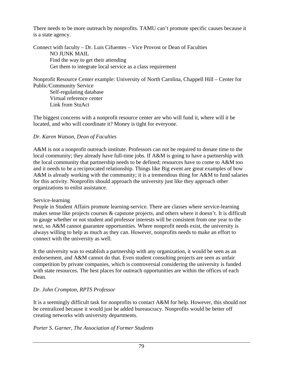There needs to be more outreach by nonprofits. TAMU can't promote specific causes because it is a state agency.

Connect with faculty – Dr. Luis Cifuentes – Vice Provost or Dean of Faculties NO JUNK MAIL Find the way to get their attending Get them to integrate local service as a class requirement

Nonprofit Resource Center example: University of North Carolina, Chappell Hill – Center for Public/Community Service

 Self-regulating database Virtual reference center Link from StuAct

The biggest concerns with a nonprofit resource center are who will fund it, where will it be located, and who will coordinate it? Money is tight for everyone.

# *Dr. Karen Watson, Dean of Faculties*

A&M is not a nonprofit outreach institute. Professors can not be required to donate time to the local community; they already have full-time jobs. If A&M is going to have a partnership with the local community that partnership needs to be defined; resources have to come to A&M too and it needs to be a reciprocated relationship. Things like Big event are great examples of how A&M is already working with the community; it is a tremendous thing for A&M to fund salaries for this activity. Nonprofits should approach the university just like they approach other organizations to enlist assistance.

# Service-learning

People in Student Affairs promote learning-service. There are classes where service-learning makes sense like projects courses & capstone projects, and others where it doesn't. It is difficult to gauge whether or not student and professor interests will be consistent from one year to the next, so A&M cannot guarantee opportunities. Where nonprofit needs exist, the university is always willing to help as much as they can. However, nonprofits needs to make an effort to connect with the university as well.

It the university was to establish a partnership with any organization, it would be seen as an endorsement, and A&M cannot do that. Even student consulting projects are seen as unfair competition by private companies, which is controversial considering the university is funded with state resources. The best places for outreach opportunities are within the offices of each Dean.

# *Dr. John Crompton, RPTS Professor*

It is a seemingly difficult task for nonprofits to contact A&M for help. However, this should not be centralized because it would just be added bureaucracy. Nonprofits would be better off creating networks with university departments.

# *Porter S. Garner, The Association of Former Students*